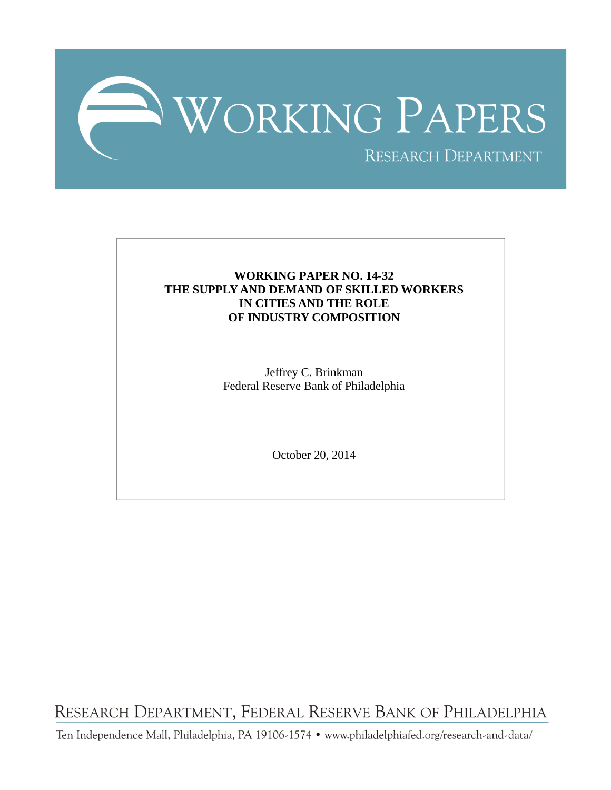

## **WORKING PAPER NO. 14-32 THE SUPPLY AND DEMAND OF SKILLED WORKERS IN CITIES AND THE ROLE OF INDUSTRY COMPOSITION**

Jeffrey C. Brinkman Federal Reserve Bank of Philadelphia

October 20, 2014

RESEARCH DEPARTMENT, FEDERAL RESERVE BANK OF PHILADELPHIA

Ten Independence Mall, Philadelphia, PA 19106-1574 · www.philadelphiafed.org/research-and-data/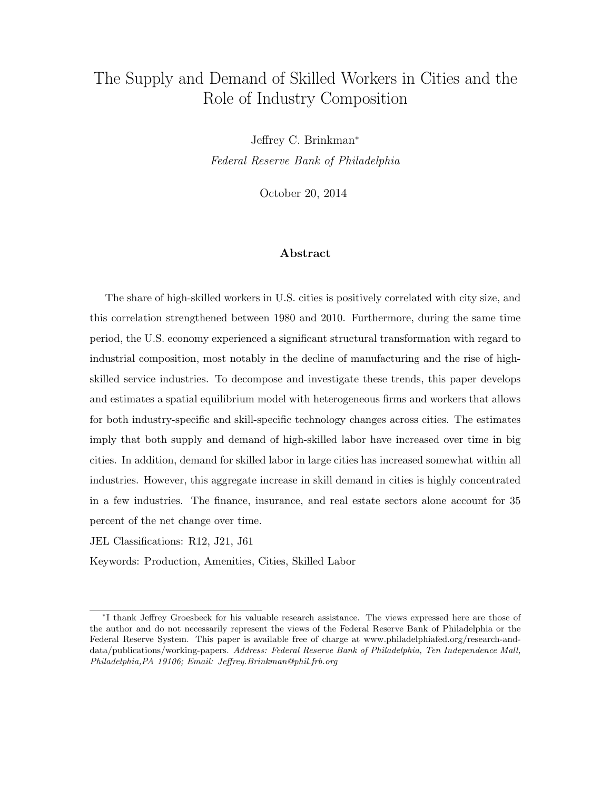# The Supply and Demand of Skilled Workers in Cities and the Role of Industry Composition

Jeffrey C. Brinkman<sup>∗</sup> Federal Reserve Bank of Philadelphia

October 20, 2014

## Abstract

The share of high-skilled workers in U.S. cities is positively correlated with city size, and this correlation strengthened between 1980 and 2010. Furthermore, during the same time period, the U.S. economy experienced a significant structural transformation with regard to industrial composition, most notably in the decline of manufacturing and the rise of highskilled service industries. To decompose and investigate these trends, this paper develops and estimates a spatial equilibrium model with heterogeneous firms and workers that allows for both industry-specific and skill-specific technology changes across cities. The estimates imply that both supply and demand of high-skilled labor have increased over time in big cities. In addition, demand for skilled labor in large cities has increased somewhat within all industries. However, this aggregate increase in skill demand in cities is highly concentrated in a few industries. The finance, insurance, and real estate sectors alone account for 35 percent of the net change over time.

JEL Classifications: R12, J21, J61

Keywords: Production, Amenities, Cities, Skilled Labor

<sup>∗</sup> I thank Jeffrey Groesbeck for his valuable research assistance. The views expressed here are those of the author and do not necessarily represent the views of the Federal Reserve Bank of Philadelphia or the Federal Reserve System. This paper is available free of charge at www.philadelphiafed.org/research-anddata/publications/working-papers. Address: Federal Reserve Bank of Philadelphia, Ten Independence Mall, Philadelphia,PA 19106; Email: Jeffrey.Brinkman@phil.frb.org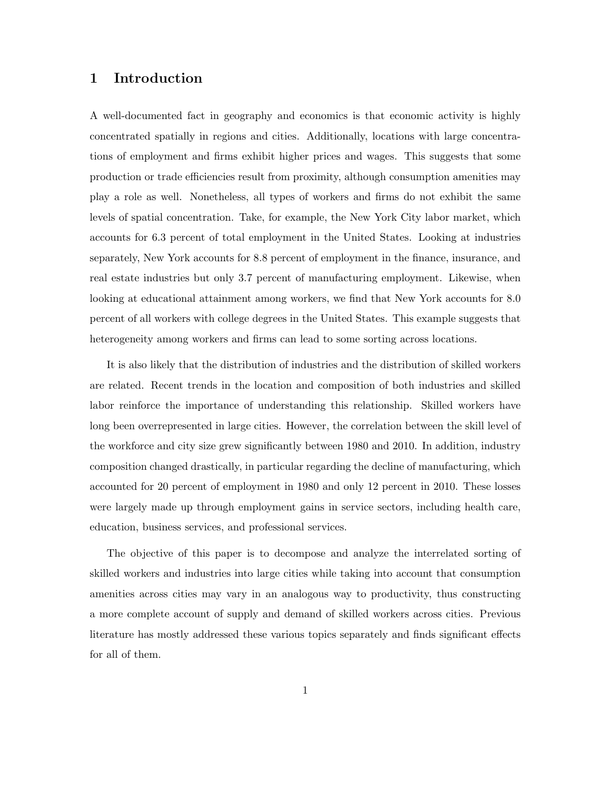## 1 Introduction

A well-documented fact in geography and economics is that economic activity is highly concentrated spatially in regions and cities. Additionally, locations with large concentrations of employment and firms exhibit higher prices and wages. This suggests that some production or trade efficiencies result from proximity, although consumption amenities may play a role as well. Nonetheless, all types of workers and firms do not exhibit the same levels of spatial concentration. Take, for example, the New York City labor market, which accounts for 6.3 percent of total employment in the United States. Looking at industries separately, New York accounts for 8.8 percent of employment in the finance, insurance, and real estate industries but only 3.7 percent of manufacturing employment. Likewise, when looking at educational attainment among workers, we find that New York accounts for 8.0 percent of all workers with college degrees in the United States. This example suggests that heterogeneity among workers and firms can lead to some sorting across locations.

It is also likely that the distribution of industries and the distribution of skilled workers are related. Recent trends in the location and composition of both industries and skilled labor reinforce the importance of understanding this relationship. Skilled workers have long been overrepresented in large cities. However, the correlation between the skill level of the workforce and city size grew significantly between 1980 and 2010. In addition, industry composition changed drastically, in particular regarding the decline of manufacturing, which accounted for 20 percent of employment in 1980 and only 12 percent in 2010. These losses were largely made up through employment gains in service sectors, including health care, education, business services, and professional services.

The objective of this paper is to decompose and analyze the interrelated sorting of skilled workers and industries into large cities while taking into account that consumption amenities across cities may vary in an analogous way to productivity, thus constructing a more complete account of supply and demand of skilled workers across cities. Previous literature has mostly addressed these various topics separately and finds significant effects for all of them.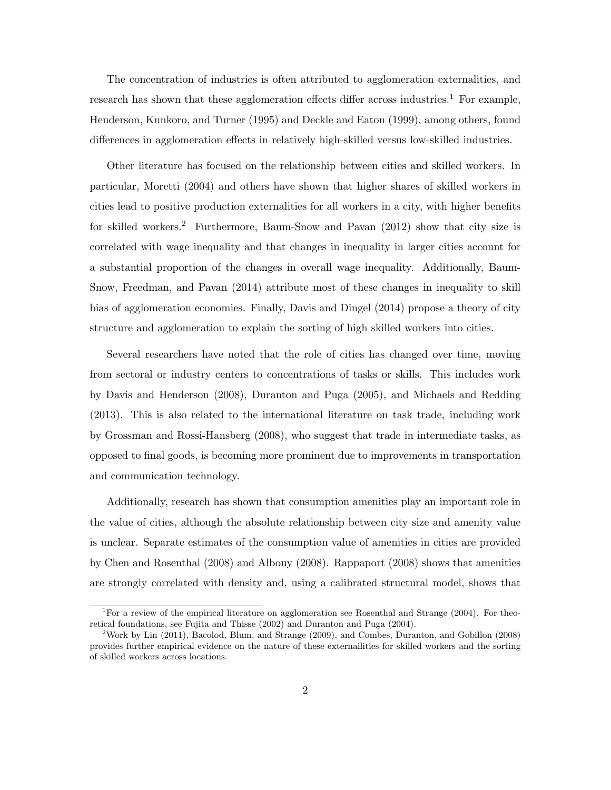The concentration of industries is often attributed to agglomeration externalities, and research has shown that these agglomeration effects differ across industries.<sup>1</sup> For example, Henderson, Kunkoro, and Turner (1995) and Deckle and Eaton (1999), among others, found differences in agglomeration effects in relatively high-skilled versus low-skilled industries.

Other literature has focused on the relationship between cities and skilled workers. In particular, Moretti (2004) and others have shown that higher shares of skilled workers in cities lead to positive production externalities for all workers in a city, with higher benefits for skilled workers.<sup>2</sup> Furthermore, Baum-Snow and Pavan (2012) show that city size is correlated with wage inequality and that changes in inequality in larger cities account for a substantial proportion of the changes in overall wage inequality. Additionally, Baum-Snow, Freedman, and Pavan (2014) attribute most of these changes in inequality to skill bias of agglomeration economies. Finally, Davis and Dingel (2014) propose a theory of city structure and agglomeration to explain the sorting of high skilled workers into cities.

Several researchers have noted that the role of cities has changed over time, moving from sectoral or industry centers to concentrations of tasks or skills. This includes work by Davis and Henderson (2008), Duranton and Puga (2005), and Michaels and Redding (2013). This is also related to the international literature on task trade, including work by Grossman and Rossi-Hansberg (2008), who suggest that trade in intermediate tasks, as opposed to final goods, is becoming more prominent due to improvements in transportation and communication technology.

Additionally, research has shown that consumption amenities play an important role in the value of cities, although the absolute relationship between city size and amenity value is unclear. Separate estimates of the consumption value of amenities in cities are provided by Chen and Rosenthal (2008) and Albouy (2008). Rappaport (2008) shows that amenities are strongly correlated with density and, using a calibrated structural model, shows that

<sup>&</sup>lt;sup>1</sup>For a review of the empirical literature on agglomeration see Rosenthal and Strange (2004). For theoretical foundations, see Fujita and Thisse (2002) and Duranton and Puga (2004).

<sup>2</sup>Work by Lin (2011), Bacolod, Blum, and Strange (2009), and Combes, Duranton, and Gobillon (2008) provides further empirical evidence on the nature of these externailities for skilled workers and the sorting of skilled workers across locations.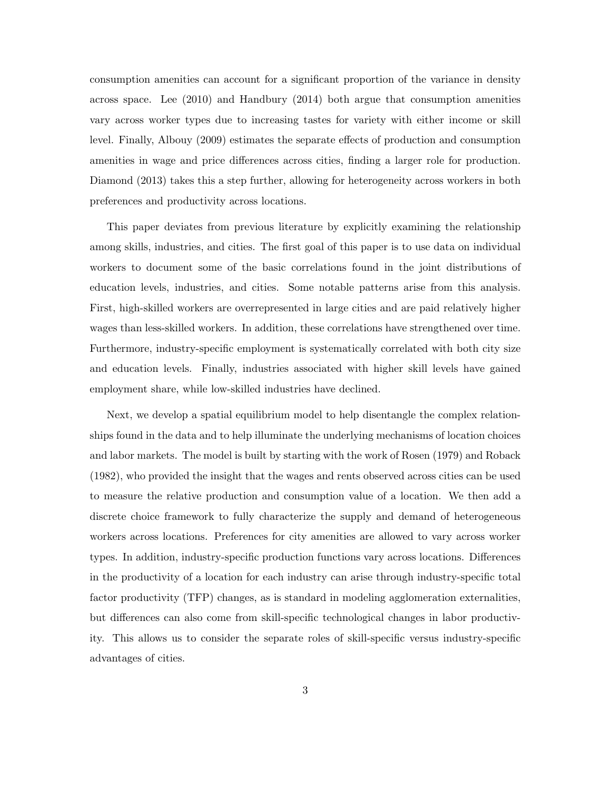consumption amenities can account for a significant proportion of the variance in density across space. Lee (2010) and Handbury (2014) both argue that consumption amenities vary across worker types due to increasing tastes for variety with either income or skill level. Finally, Albouy (2009) estimates the separate effects of production and consumption amenities in wage and price differences across cities, finding a larger role for production. Diamond (2013) takes this a step further, allowing for heterogeneity across workers in both preferences and productivity across locations.

This paper deviates from previous literature by explicitly examining the relationship among skills, industries, and cities. The first goal of this paper is to use data on individual workers to document some of the basic correlations found in the joint distributions of education levels, industries, and cities. Some notable patterns arise from this analysis. First, high-skilled workers are overrepresented in large cities and are paid relatively higher wages than less-skilled workers. In addition, these correlations have strengthened over time. Furthermore, industry-specific employment is systematically correlated with both city size and education levels. Finally, industries associated with higher skill levels have gained employment share, while low-skilled industries have declined.

Next, we develop a spatial equilibrium model to help disentangle the complex relationships found in the data and to help illuminate the underlying mechanisms of location choices and labor markets. The model is built by starting with the work of Rosen (1979) and Roback (1982), who provided the insight that the wages and rents observed across cities can be used to measure the relative production and consumption value of a location. We then add a discrete choice framework to fully characterize the supply and demand of heterogeneous workers across locations. Preferences for city amenities are allowed to vary across worker types. In addition, industry-specific production functions vary across locations. Differences in the productivity of a location for each industry can arise through industry-specific total factor productivity (TFP) changes, as is standard in modeling agglomeration externalities, but differences can also come from skill-specific technological changes in labor productivity. This allows us to consider the separate roles of skill-specific versus industry-specific advantages of cities.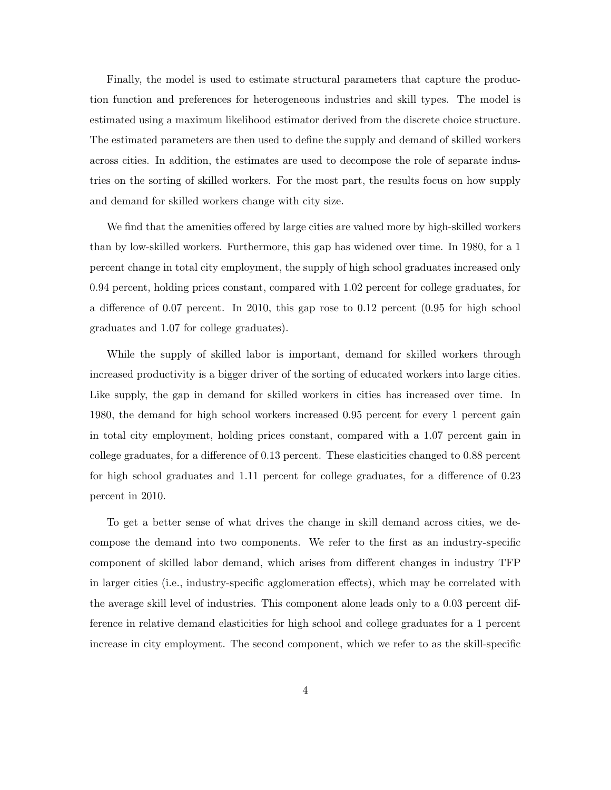Finally, the model is used to estimate structural parameters that capture the production function and preferences for heterogeneous industries and skill types. The model is estimated using a maximum likelihood estimator derived from the discrete choice structure. The estimated parameters are then used to define the supply and demand of skilled workers across cities. In addition, the estimates are used to decompose the role of separate industries on the sorting of skilled workers. For the most part, the results focus on how supply and demand for skilled workers change with city size.

We find that the amenities offered by large cities are valued more by high-skilled workers than by low-skilled workers. Furthermore, this gap has widened over time. In 1980, for a 1 percent change in total city employment, the supply of high school graduates increased only 0.94 percent, holding prices constant, compared with 1.02 percent for college graduates, for a difference of 0.07 percent. In 2010, this gap rose to 0.12 percent (0.95 for high school graduates and 1.07 for college graduates).

While the supply of skilled labor is important, demand for skilled workers through increased productivity is a bigger driver of the sorting of educated workers into large cities. Like supply, the gap in demand for skilled workers in cities has increased over time. In 1980, the demand for high school workers increased 0.95 percent for every 1 percent gain in total city employment, holding prices constant, compared with a 1.07 percent gain in college graduates, for a difference of 0.13 percent. These elasticities changed to 0.88 percent for high school graduates and 1.11 percent for college graduates, for a difference of 0.23 percent in 2010.

To get a better sense of what drives the change in skill demand across cities, we decompose the demand into two components. We refer to the first as an industry-specific component of skilled labor demand, which arises from different changes in industry TFP in larger cities (i.e., industry-specific agglomeration effects), which may be correlated with the average skill level of industries. This component alone leads only to a 0.03 percent difference in relative demand elasticities for high school and college graduates for a 1 percent increase in city employment. The second component, which we refer to as the skill-specific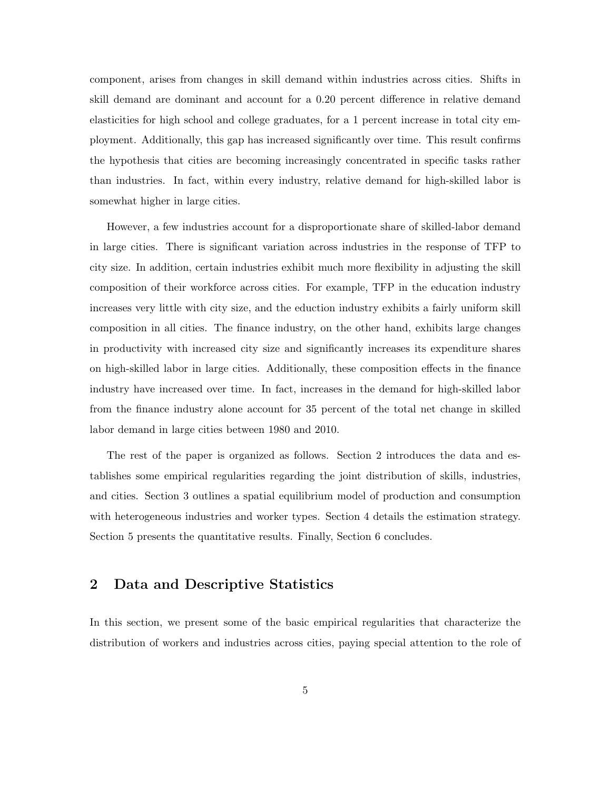component, arises from changes in skill demand within industries across cities. Shifts in skill demand are dominant and account for a 0.20 percent difference in relative demand elasticities for high school and college graduates, for a 1 percent increase in total city employment. Additionally, this gap has increased significantly over time. This result confirms the hypothesis that cities are becoming increasingly concentrated in specific tasks rather than industries. In fact, within every industry, relative demand for high-skilled labor is somewhat higher in large cities.

However, a few industries account for a disproportionate share of skilled-labor demand in large cities. There is significant variation across industries in the response of TFP to city size. In addition, certain industries exhibit much more flexibility in adjusting the skill composition of their workforce across cities. For example, TFP in the education industry increases very little with city size, and the eduction industry exhibits a fairly uniform skill composition in all cities. The finance industry, on the other hand, exhibits large changes in productivity with increased city size and significantly increases its expenditure shares on high-skilled labor in large cities. Additionally, these composition effects in the finance industry have increased over time. In fact, increases in the demand for high-skilled labor from the finance industry alone account for 35 percent of the total net change in skilled labor demand in large cities between 1980 and 2010.

The rest of the paper is organized as follows. Section 2 introduces the data and establishes some empirical regularities regarding the joint distribution of skills, industries, and cities. Section 3 outlines a spatial equilibrium model of production and consumption with heterogeneous industries and worker types. Section 4 details the estimation strategy. Section 5 presents the quantitative results. Finally, Section 6 concludes.

## 2 Data and Descriptive Statistics

In this section, we present some of the basic empirical regularities that characterize the distribution of workers and industries across cities, paying special attention to the role of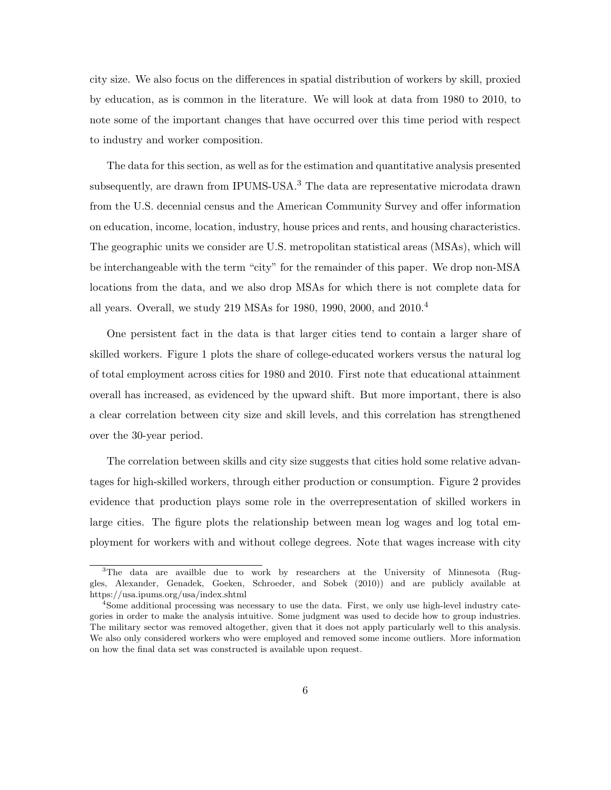city size. We also focus on the differences in spatial distribution of workers by skill, proxied by education, as is common in the literature. We will look at data from 1980 to 2010, to note some of the important changes that have occurred over this time period with respect to industry and worker composition.

The data for this section, as well as for the estimation and quantitative analysis presented subsequently, are drawn from IPUMS-USA.<sup>3</sup> The data are representative microdata drawn from the U.S. decennial census and the American Community Survey and offer information on education, income, location, industry, house prices and rents, and housing characteristics. The geographic units we consider are U.S. metropolitan statistical areas (MSAs), which will be interchangeable with the term "city" for the remainder of this paper. We drop non-MSA locations from the data, and we also drop MSAs for which there is not complete data for all years. Overall, we study 219 MSAs for 1980, 1990, 2000, and 2010.<sup>4</sup>

One persistent fact in the data is that larger cities tend to contain a larger share of skilled workers. Figure 1 plots the share of college-educated workers versus the natural log of total employment across cities for 1980 and 2010. First note that educational attainment overall has increased, as evidenced by the upward shift. But more important, there is also a clear correlation between city size and skill levels, and this correlation has strengthened over the 30-year period.

The correlation between skills and city size suggests that cities hold some relative advantages for high-skilled workers, through either production or consumption. Figure 2 provides evidence that production plays some role in the overrepresentation of skilled workers in large cities. The figure plots the relationship between mean log wages and log total employment for workers with and without college degrees. Note that wages increase with city

<sup>&</sup>lt;sup>3</sup>The data are availble due to work by researchers at the University of Minnesota (Ruggles, Alexander, Genadek, Goeken, Schroeder, and Sobek (2010)) and are publicly available at https://usa.ipums.org/usa/index.shtml

<sup>4</sup>Some additional processing was necessary to use the data. First, we only use high-level industry categories in order to make the analysis intuitive. Some judgment was used to decide how to group industries. The military sector was removed altogether, given that it does not apply particularly well to this analysis. We also only considered workers who were employed and removed some income outliers. More information on how the final data set was constructed is available upon request.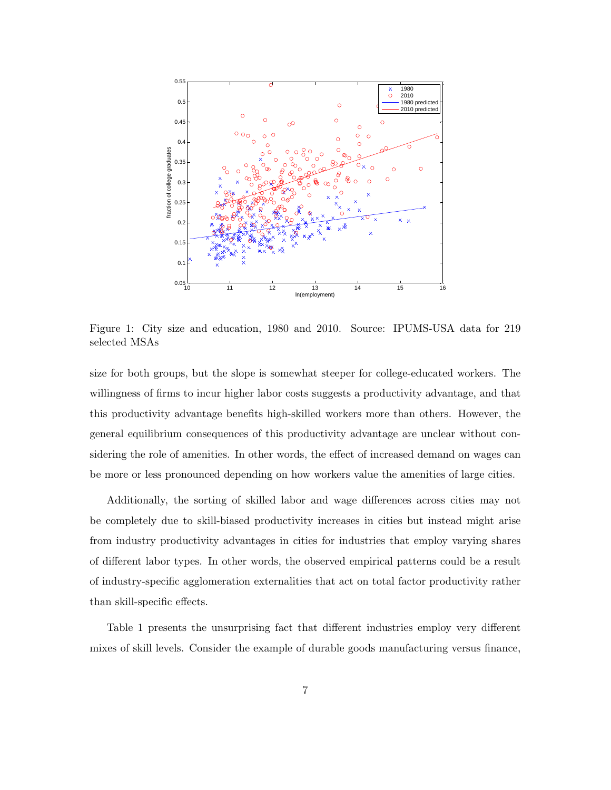

Figure 1: City size and education, 1980 and 2010. Source: IPUMS-USA data for 219 selected MSAs

size for both groups, but the slope is somewhat steeper for college-educated workers. The willingness of firms to incur higher labor costs suggests a productivity advantage, and that this productivity advantage benefits high-skilled workers more than others. However, the general equilibrium consequences of this productivity advantage are unclear without considering the role of amenities. In other words, the effect of increased demand on wages can be more or less pronounced depending on how workers value the amenities of large cities.

Additionally, the sorting of skilled labor and wage differences across cities may not be completely due to skill-biased productivity increases in cities but instead might arise from industry productivity advantages in cities for industries that employ varying shares of different labor types. In other words, the observed empirical patterns could be a result of industry-specific agglomeration externalities that act on total factor productivity rather than skill-specific effects.

Table 1 presents the unsurprising fact that different industries employ very different mixes of skill levels. Consider the example of durable goods manufacturing versus finance,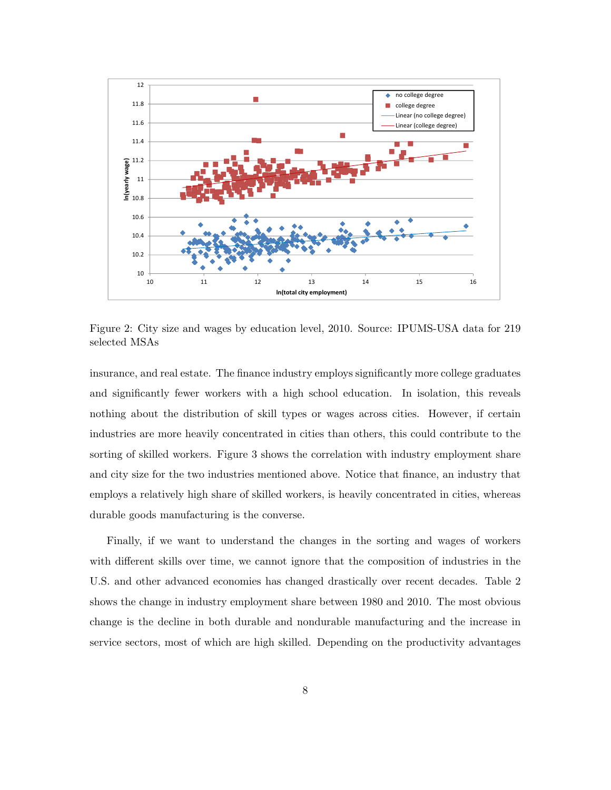

Figure 2: City size and wages by education level, 2010. Source: IPUMS-USA data for 219 selected MSAs

insurance, and real estate. The finance industry employs significantly more college graduates and significantly fewer workers with a high school education. In isolation, this reveals nothing about the distribution of skill types or wages across cities. However, if certain industries are more heavily concentrated in cities than others, this could contribute to the sorting of skilled workers. Figure 3 shows the correlation with industry employment share and city size for the two industries mentioned above. Notice that finance, an industry that employs a relatively high share of skilled workers, is heavily concentrated in cities, whereas durable goods manufacturing is the converse.

Finally, if we want to understand the changes in the sorting and wages of workers with different skills over time, we cannot ignore that the composition of industries in the U.S. and other advanced economies has changed drastically over recent decades. Table 2 shows the change in industry employment share between 1980 and 2010. The most obvious change is the decline in both durable and nondurable manufacturing and the increase in service sectors, most of which are high skilled. Depending on the productivity advantages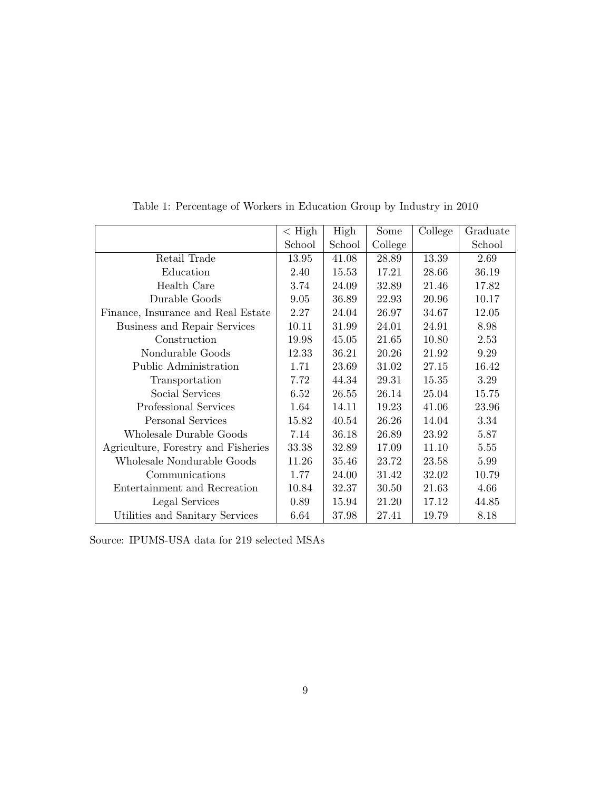|                                     | $\langle$ High | High   | Some    | College | Graduate |
|-------------------------------------|----------------|--------|---------|---------|----------|
|                                     | School         | School | College |         | School   |
| Retail Trade                        | 13.95          | 41.08  | 28.89   | 13.39   | 2.69     |
| Education                           | 2.40           | 15.53  | 17.21   | 28.66   | 36.19    |
| <b>Health Care</b>                  | 3.74           | 24.09  | 32.89   | 21.46   | 17.82    |
| Durable Goods                       | 9.05           | 36.89  | 22.93   | 20.96   | 10.17    |
| Finance, Insurance and Real Estate  | 2.27           | 24.04  | 26.97   | 34.67   | 12.05    |
| Business and Repair Services        | 10.11          | 31.99  | 24.01   | 24.91   | 8.98     |
| Construction                        | 19.98          | 45.05  | 21.65   | 10.80   | 2.53     |
| Nondurable Goods                    | 12.33          | 36.21  | 20.26   | 21.92   | 9.29     |
| Public Administration               | 1.71           | 23.69  | 31.02   | 27.15   | 16.42    |
| Transportation                      | 7.72           | 44.34  | 29.31   | 15.35   | 3.29     |
| Social Services                     | 6.52           | 26.55  | 26.14   | 25.04   | 15.75    |
| Professional Services               | 1.64           | 14.11  | 19.23   | 41.06   | 23.96    |
| Personal Services                   | 15.82          | 40.54  | 26.26   | 14.04   | 3.34     |
| Wholesale Durable Goods             | 7.14           | 36.18  | 26.89   | 23.92   | 5.87     |
| Agriculture, Forestry and Fisheries | 33.38          | 32.89  | 17.09   | 11.10   | 5.55     |
| Wholesale Nondurable Goods          | 11.26          | 35.46  | 23.72   | 23.58   | 5.99     |
| Communications                      | 1.77           | 24.00  | 31.42   | 32.02   | 10.79    |
| Entertainment and Recreation        | 10.84          | 32.37  | 30.50   | 21.63   | 4.66     |
| Legal Services                      | 0.89           | 15.94  | 21.20   | 17.12   | 44.85    |
| Utilities and Sanitary Services     | 6.64           | 37.98  | 27.41   | 19.79   | 8.18     |

Table 1: Percentage of Workers in Education Group by Industry in 2010

Source: IPUMS-USA data for 219 selected MSAs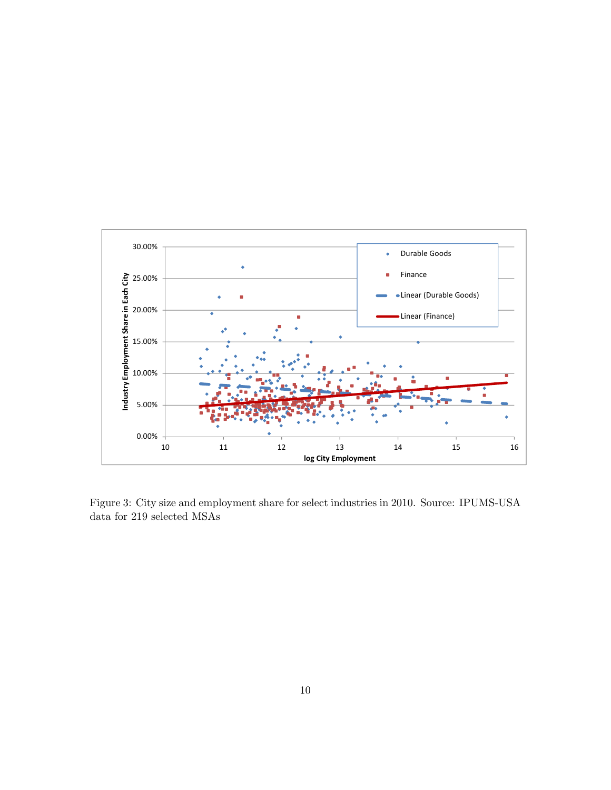

Figure 3: City size and employment share for select industries in 2010. Source: IPUMS-USA data for 219 selected MSAs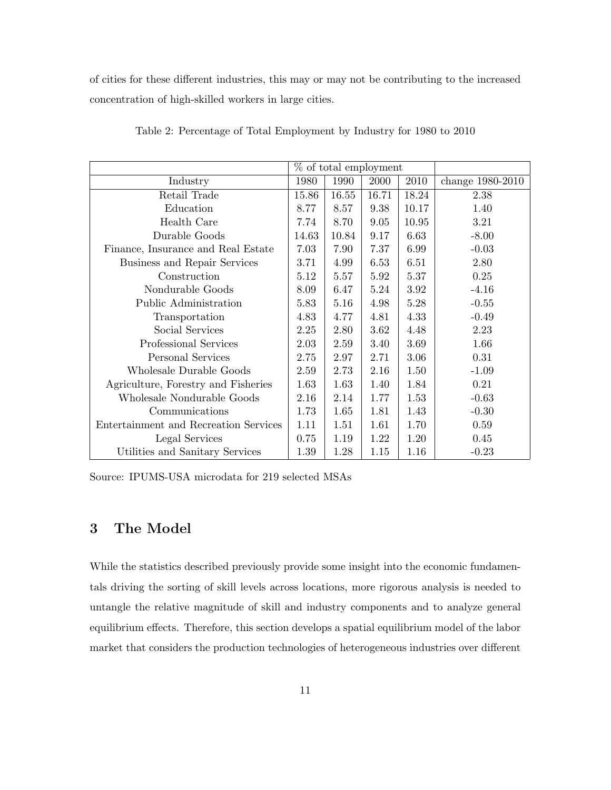of cities for these different industries, this may or may not be contributing to the increased concentration of high-skilled workers in large cities.

|                                       |       | % of total employment |       |       |                  |
|---------------------------------------|-------|-----------------------|-------|-------|------------------|
| Industry                              | 1980  | 1990                  | 2000  | 2010  | change 1980-2010 |
| Retail Trade                          | 15.86 | 16.55                 | 16.71 | 18.24 | 2.38             |
| Education                             | 8.77  | 8.57                  | 9.38  | 10.17 | 1.40             |
| Health Care                           | 7.74  | 8.70                  | 9.05  | 10.95 | 3.21             |
| Durable Goods                         | 14.63 | 10.84                 | 9.17  | 6.63  | $-8.00$          |
| Finance, Insurance and Real Estate    | 7.03  | 7.90                  | 7.37  | 6.99  | $-0.03$          |
| Business and Repair Services          | 3.71  | 4.99                  | 6.53  | 6.51  | 2.80             |
| Construction                          | 5.12  | 5.57                  | 5.92  | 5.37  | 0.25             |
| Nondurable Goods                      | 8.09  | 6.47                  | 5.24  | 3.92  | $-4.16$          |
| Public Administration                 | 5.83  | 5.16                  | 4.98  | 5.28  | $-0.55$          |
| Transportation                        | 4.83  | 4.77                  | 4.81  | 4.33  | $-0.49$          |
| Social Services                       | 2.25  | 2.80                  | 3.62  | 4.48  | 2.23             |
| Professional Services                 | 2.03  | 2.59                  | 3.40  | 3.69  | 1.66             |
| Personal Services                     | 2.75  | 2.97                  | 2.71  | 3.06  | 0.31             |
| Wholesale Durable Goods               | 2.59  | 2.73                  | 2.16  | 1.50  | $-1.09$          |
| Agriculture, Forestry and Fisheries   | 1.63  | 1.63                  | 1.40  | 1.84  | 0.21             |
| Wholesale Nondurable Goods            | 2.16  | 2.14                  | 1.77  | 1.53  | $-0.63$          |
| Communications                        | 1.73  | 1.65                  | 1.81  | 1.43  | $-0.30$          |
| Entertainment and Recreation Services | 1.11  | 1.51                  | 1.61  | 1.70  | 0.59             |
| Legal Services                        | 0.75  | 1.19                  | 1.22  | 1.20  | 0.45             |
| Utilities and Sanitary Services       | 1.39  | 1.28                  | 1.15  | 1.16  | $-0.23$          |

Table 2: Percentage of Total Employment by Industry for 1980 to 2010

Source: IPUMS-USA microdata for 219 selected MSAs

## 3 The Model

While the statistics described previously provide some insight into the economic fundamentals driving the sorting of skill levels across locations, more rigorous analysis is needed to untangle the relative magnitude of skill and industry components and to analyze general equilibrium effects. Therefore, this section develops a spatial equilibrium model of the labor market that considers the production technologies of heterogeneous industries over different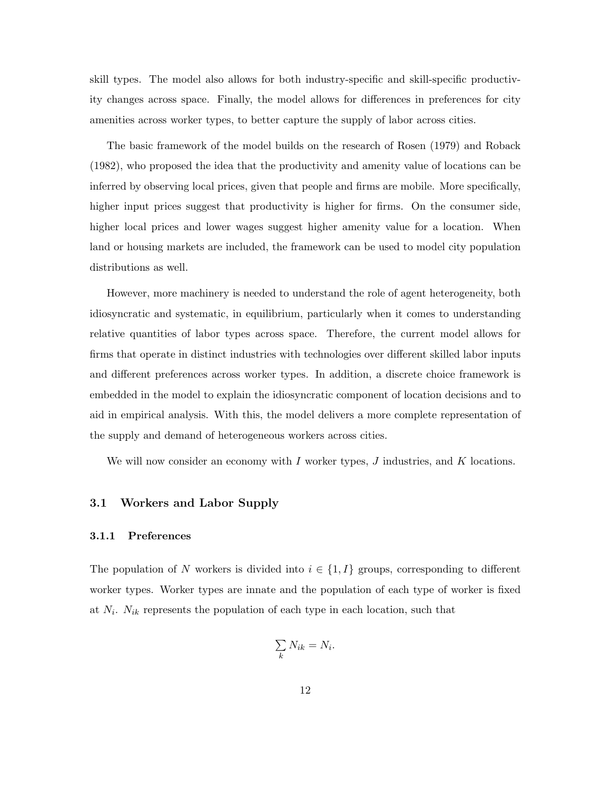skill types. The model also allows for both industry-specific and skill-specific productivity changes across space. Finally, the model allows for differences in preferences for city amenities across worker types, to better capture the supply of labor across cities.

The basic framework of the model builds on the research of Rosen (1979) and Roback (1982), who proposed the idea that the productivity and amenity value of locations can be inferred by observing local prices, given that people and firms are mobile. More specifically, higher input prices suggest that productivity is higher for firms. On the consumer side, higher local prices and lower wages suggest higher amenity value for a location. When land or housing markets are included, the framework can be used to model city population distributions as well.

However, more machinery is needed to understand the role of agent heterogeneity, both idiosyncratic and systematic, in equilibrium, particularly when it comes to understanding relative quantities of labor types across space. Therefore, the current model allows for firms that operate in distinct industries with technologies over different skilled labor inputs and different preferences across worker types. In addition, a discrete choice framework is embedded in the model to explain the idiosyncratic component of location decisions and to aid in empirical analysis. With this, the model delivers a more complete representation of the supply and demand of heterogeneous workers across cities.

We will now consider an economy with  $I$  worker types,  $J$  industries, and  $K$  locations.

## 3.1 Workers and Labor Supply

#### 3.1.1 Preferences

The population of N workers is divided into  $i \in \{1, I\}$  groups, corresponding to different worker types. Worker types are innate and the population of each type of worker is fixed at  $N_i$ .  $N_{ik}$  represents the population of each type in each location, such that

$$
\sum_k N_{ik} = N_i.
$$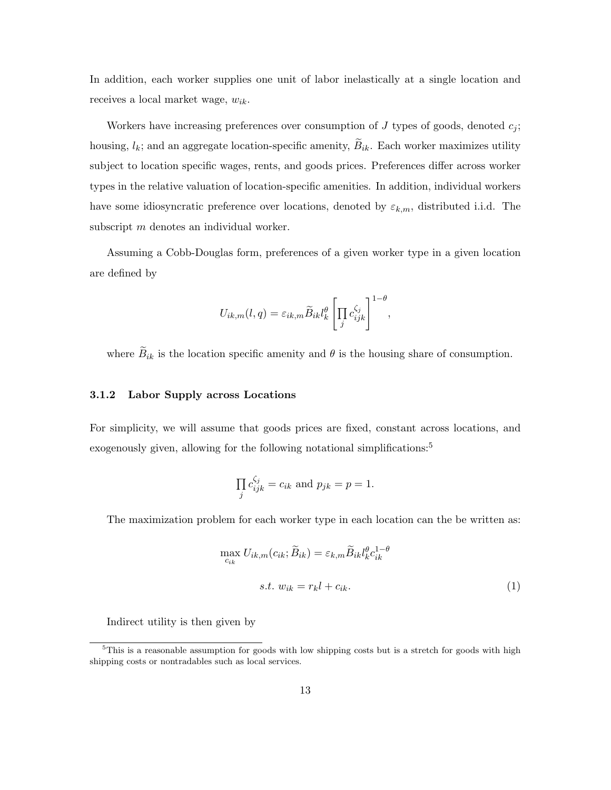In addition, each worker supplies one unit of labor inelastically at a single location and receives a local market wage,  $w_{ik}$ .

Workers have increasing preferences over consumption of  $J$  types of goods, denoted  $c_j$ ; housing,  $l_k$ ; and an aggregate location-specific amenity,  $\widetilde{B}_{ik}$ . Each worker maximizes utility subject to location specific wages, rents, and goods prices. Preferences differ across worker types in the relative valuation of location-specific amenities. In addition, individual workers have some idiosyncratic preference over locations, denoted by  $\varepsilon_{k,m}$ , distributed i.i.d. The subscript m denotes an individual worker.

Assuming a Cobb-Douglas form, preferences of a given worker type in a given location are defined by

$$
U_{ik,m}(l,q) = \varepsilon_{ik,m} \widetilde{B}_{ik} l_k^{\theta} \left[ \prod_j c_{ijk}^{\zeta_j} \right]^{1-\theta},
$$

where  $\widetilde{B}_{ik}$  is the location specific amenity and  $\theta$  is the housing share of consumption.

## 3.1.2 Labor Supply across Locations

For simplicity, we will assume that goods prices are fixed, constant across locations, and exogenously given, allowing for the following notational simplifications:<sup>5</sup>

$$
\prod_j c_{ijk}^{\zeta_j} = c_{ik} \text{ and } p_{jk} = p = 1.
$$

The maximization problem for each worker type in each location can the be written as:

$$
\max_{c_{ik}} U_{ik,m}(c_{ik}; \widetilde{B}_{ik}) = \varepsilon_{k,m} \widetilde{B}_{ik} l_k^{\theta} c_{ik}^{1-\theta}
$$
  
s.t.  $w_{ik} = r_k l + c_{ik}.$  (1)

Indirect utility is then given by

 $5$ This is a reasonable assumption for goods with low shipping costs but is a stretch for goods with high shipping costs or nontradables such as local services.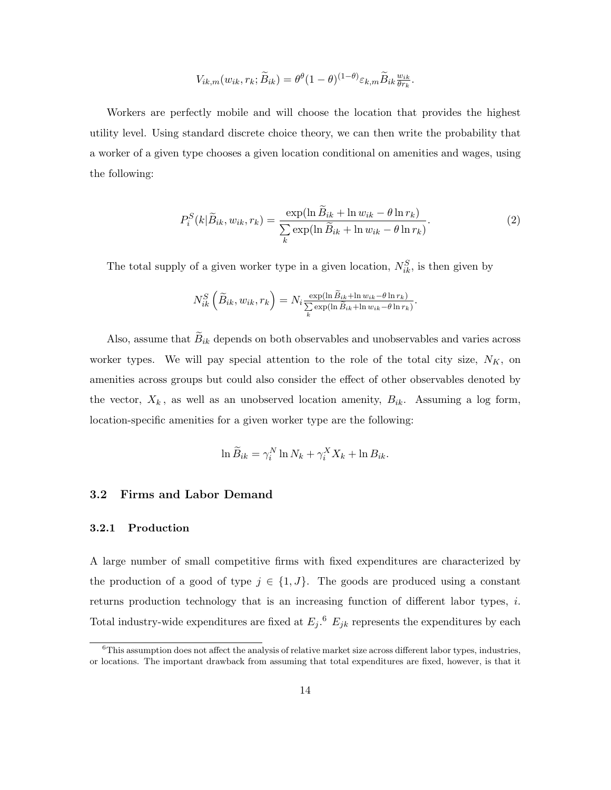$$
V_{ik,m}(w_{ik}, r_k; \widetilde{B}_{ik}) = \theta^{\theta} (1 - \theta)^{(1 - \theta)} \varepsilon_{k,m} \widetilde{B}_{ik} \frac{w_{ik}}{\theta r_k}.
$$

Workers are perfectly mobile and will choose the location that provides the highest utility level. Using standard discrete choice theory, we can then write the probability that a worker of a given type chooses a given location conditional on amenities and wages, using the following:

$$
P_i^S(k|\widetilde{B}_{ik}, w_{ik}, r_k) = \frac{\exp(\ln \widetilde{B}_{ik} + \ln w_{ik} - \theta \ln r_k)}{\sum_k \exp(\ln \widetilde{B}_{ik} + \ln w_{ik} - \theta \ln r_k)}.
$$
\n(2)

The total supply of a given worker type in a given location,  $N_{ik}^S$ , is then given by

$$
N_{ik}^S\left(\widetilde{B}_{ik}, w_{ik}, r_k\right) = N_i \frac{\exp(\ln \widetilde{B}_{ik} + \ln w_{ik} - \theta \ln r_k)}{\sum_k \exp(\ln \widetilde{B}_{ik} + \ln w_{ik} - \theta \ln r_k)}.
$$

Also, assume that  $\widetilde{B}_{ik}$  depends on both observables and unobservables and varies across worker types. We will pay special attention to the role of the total city size,  $N_K$ , on amenities across groups but could also consider the effect of other observables denoted by the vector,  $X_k$ , as well as an unobserved location amenity,  $B_{ik}$ . Assuming a log form, location-specific amenities for a given worker type are the following:

$$
\ln \widetilde{B}_{ik} = \gamma_i^N \ln N_k + \gamma_i^X X_k + \ln B_{ik}.
$$

#### 3.2 Firms and Labor Demand

#### 3.2.1 Production

A large number of small competitive firms with fixed expenditures are characterized by the production of a good of type  $j \in \{1, J\}$ . The goods are produced using a constant returns production technology that is an increasing function of different labor types, i. Total industry-wide expenditures are fixed at  $E_j$ .<sup>6</sup>  $E_{jk}$  represents the expenditures by each

 $6$ This assumption does not affect the analysis of relative market size across different labor types, industries, or locations. The important drawback from assuming that total expenditures are fixed, however, is that it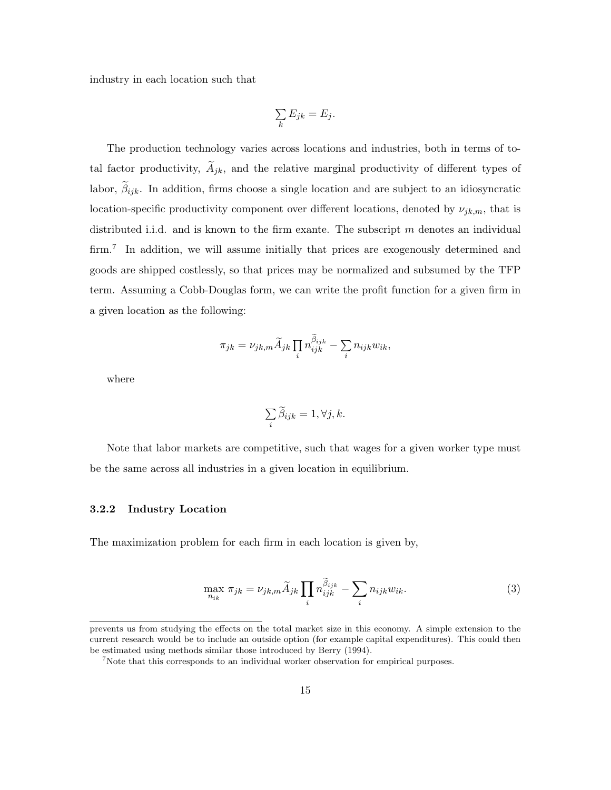industry in each location such that

$$
\sum_k E_{jk} = E_j.
$$

The production technology varies across locations and industries, both in terms of total factor productivity,  $\widetilde{A}_{jk}$ , and the relative marginal productivity of different types of labor,  $\beta_{ijk}$ . In addition, firms choose a single location and are subject to an idiosyncratic location-specific productivity component over different locations, denoted by  $\nu_{jk,m}$ , that is distributed i.i.d. and is known to the firm exante. The subscript  $m$  denotes an individual firm.<sup>7</sup> In addition, we will assume initially that prices are exogenously determined and goods are shipped costlessly, so that prices may be normalized and subsumed by the TFP term. Assuming a Cobb-Douglas form, we can write the profit function for a given firm in a given location as the following:

$$
\pi_{jk} = \nu_{jk,m} \widetilde{A}_{jk} \prod_i n_{ijk}^{\widetilde{\beta}_{ijk}} - \sum_i n_{ijk} w_{ik},
$$

where

$$
\sum_{i} \widetilde{\beta}_{ijk} = 1, \forall j, k.
$$

Note that labor markets are competitive, such that wages for a given worker type must be the same across all industries in a given location in equilibrium.

#### 3.2.2 Industry Location

The maximization problem for each firm in each location is given by,

$$
\max_{n_{ik}} \pi_{jk} = \nu_{jk,m} \widetilde{A}_{jk} \prod_{i} n_{ijk}^{\widetilde{\beta}_{ijk}} - \sum_{i} n_{ijk} w_{ik}.
$$
\n(3)

prevents us from studying the effects on the total market size in this economy. A simple extension to the current research would be to include an outside option (for example capital expenditures). This could then be estimated using methods similar those introduced by Berry (1994).

<sup>7</sup>Note that this corresponds to an individual worker observation for empirical purposes.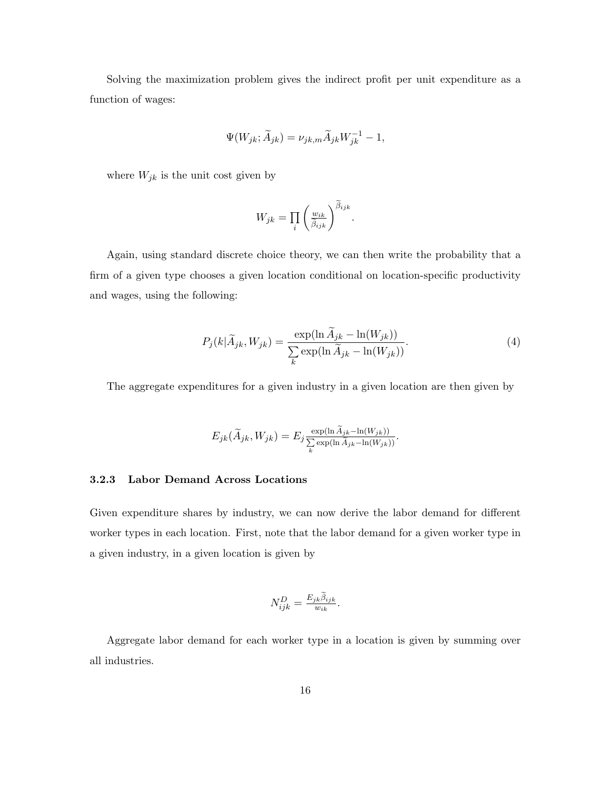Solving the maximization problem gives the indirect profit per unit expenditure as a function of wages:

$$
\Psi(W_{jk}; \widetilde A_{jk}) = \nu_{jk,m} \widetilde A_{jk} W_{jk}^{-1} - 1,
$$

where  $W_{jk}$  is the unit cost given by

$$
W_{jk} = \prod_{i} \left(\frac{w_{ik}}{\tilde{\beta}_{ijk}}\right)^{\tilde{\beta}_{ijk}}.
$$

Again, using standard discrete choice theory, we can then write the probability that a firm of a given type chooses a given location conditional on location-specific productivity and wages, using the following:

$$
P_j(k|\widetilde{A}_{jk}, W_{jk}) = \frac{\exp(\ln \widetilde{A}_{jk} - \ln(W_{jk}))}{\sum_k \exp(\ln \widetilde{A}_{jk} - \ln(W_{jk}))}.
$$
\n(4)

The aggregate expenditures for a given industry in a given location are then given by

$$
E_{jk}(\widetilde{A}_{jk}, W_{jk}) = E_j \frac{\exp(\ln \widetilde{A}_{jk} - \ln(W_{jk}))}{\sum_k \exp(\ln \widetilde{A}_{jk} - \ln(W_{jk}))}.
$$

## 3.2.3 Labor Demand Across Locations

Given expenditure shares by industry, we can now derive the labor demand for different worker types in each location. First, note that the labor demand for a given worker type in a given industry, in a given location is given by

$$
N_{ijk}^D = \frac{E_{jk}\tilde{\beta}_{ijk}}{w_{ik}}.
$$

Aggregate labor demand for each worker type in a location is given by summing over all industries.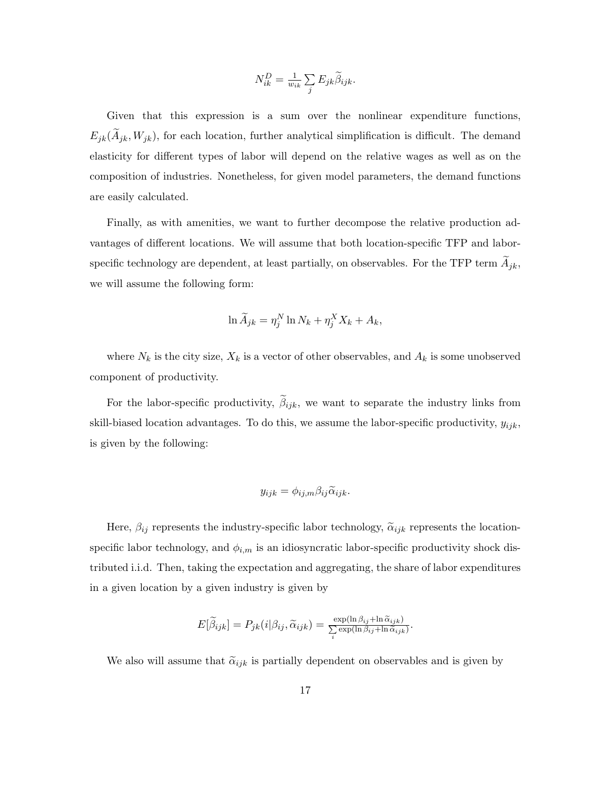$$
N_{ik}^D = \frac{1}{w_{ik}} \sum_j E_{jk} \widetilde{\beta}_{ijk}.
$$

Given that this expression is a sum over the nonlinear expenditure functions,  $E_{jk}(\tilde{A}_{jk}, W_{jk})$ , for each location, further analytical simplification is difficult. The demand elasticity for different types of labor will depend on the relative wages as well as on the composition of industries. Nonetheless, for given model parameters, the demand functions are easily calculated.

Finally, as with amenities, we want to further decompose the relative production advantages of different locations. We will assume that both location-specific TFP and laborspecific technology are dependent, at least partially, on observables. For the TFP term  $\widetilde{A}_{jk}$ , we will assume the following form:

$$
\ln \widetilde{A}_{jk} = \eta_j^N \ln N_k + \eta_j^X X_k + A_k,
$$

where  $N_k$  is the city size,  $X_k$  is a vector of other observables, and  $A_k$  is some unobserved component of productivity.

For the labor-specific productivity,  $\beta_{ijk}$ , we want to separate the industry links from skill-biased location advantages. To do this, we assume the labor-specific productivity,  $y_{ijk}$ , is given by the following:

$$
y_{ijk} = \phi_{ij,m} \beta_{ij} \widetilde{\alpha}_{ijk}.
$$

Here,  $\beta_{ij}$  represents the industry-specific labor technology,  $\tilde{\alpha}_{ijk}$  represents the locationspecific labor technology, and  $\phi_{i,m}$  is an idiosyncratic labor-specific productivity shock distributed i.i.d. Then, taking the expectation and aggregating, the share of labor expenditures in a given location by a given industry is given by

$$
E[\widetilde{\beta}_{ijk}] = P_{jk}(i|\beta_{ij}, \widetilde{\alpha}_{ijk}) = \frac{\exp(\ln \beta_{ij} + \ln \widetilde{\alpha}_{ijk})}{\sum_{i} \exp(\ln \beta_{ij} + \ln \widetilde{\alpha}_{ijk})}.
$$

We also will assume that  $\tilde{\alpha}_{ijk}$  is partially dependent on observables and is given by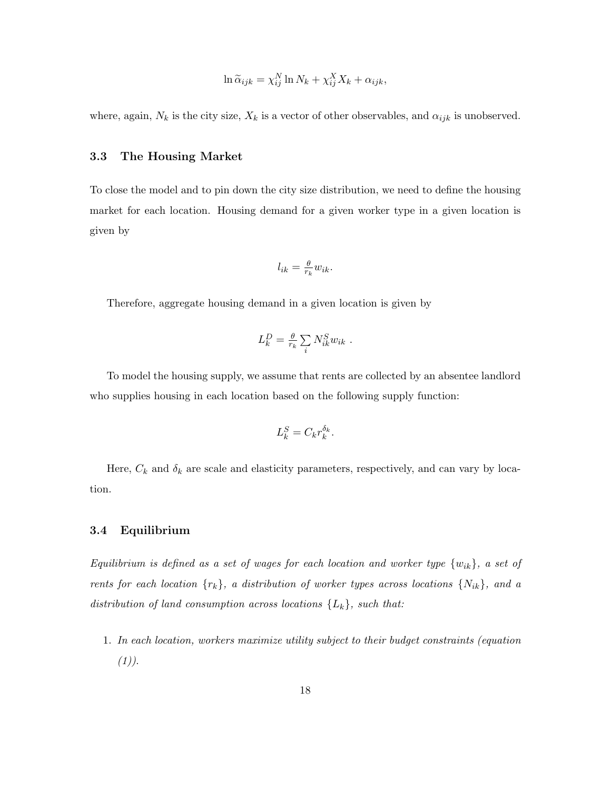$$
\ln \widetilde{\alpha}_{ijk} = \chi_{ij}^N \ln N_k + \chi_{ij}^X X_k + \alpha_{ijk},
$$

where, again,  $N_k$  is the city size,  $X_k$  is a vector of other observables, and  $\alpha_{ijk}$  is unobserved.

#### 3.3 The Housing Market

To close the model and to pin down the city size distribution, we need to define the housing market for each location. Housing demand for a given worker type in a given location is given by

$$
l_{ik} = \frac{\theta}{r_k} w_{ik}.
$$

Therefore, aggregate housing demand in a given location is given by

$$
L_k^D = \tfrac{\theta}{r_k} \sum_i N_{ik}^S w_{ik} \ .
$$

To model the housing supply, we assume that rents are collected by an absentee landlord who supplies housing in each location based on the following supply function:

$$
L_k^S = C_k r_k^{\delta_k}.
$$

Here,  $C_k$  and  $\delta_k$  are scale and elasticity parameters, respectively, and can vary by location.

## 3.4 Equilibrium

Equilibrium is defined as a set of wages for each location and worker type  $\{w_{ik}\}\$ , a set of rents for each location  $\{r_k\}$ , a distribution of worker types across locations  $\{N_{ik}\}$ , and a distribution of land consumption across locations  $\{L_k\}$ , such that:

1. In each location, workers maximize utility subject to their budget constraints (equation  $(1)$ ).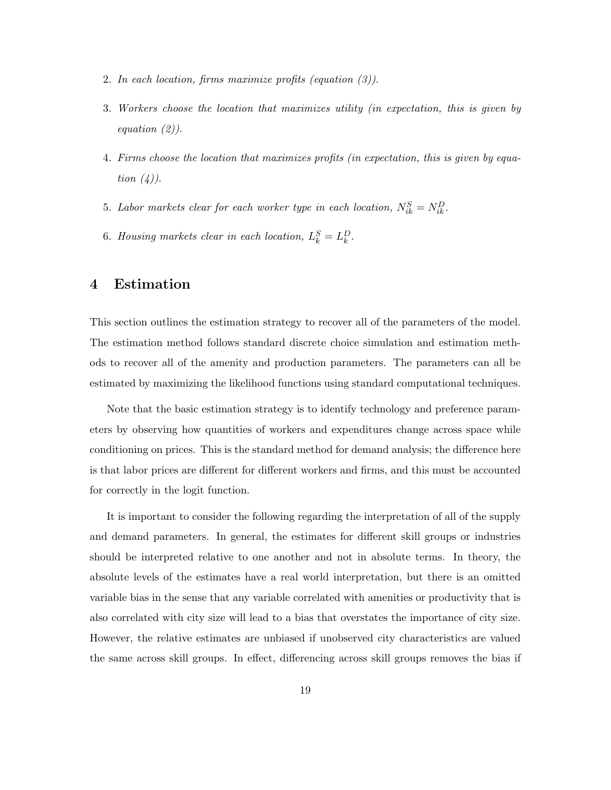- 2. In each location, firms maximize profits (equation (3)).
- 3. Workers choose the location that maximizes utility (in expectation, this is given by equation (2)).
- 4. Firms choose the location that maximizes profits (in expectation, this is given by equation  $(4)$ ).
- 5. Labor markets clear for each worker type in each location,  $N_{ik}^{S} = N_{ik}^{D}$ .
- 6. Housing markets clear in each location,  $L_k^S = L_k^D$ .

## 4 Estimation

This section outlines the estimation strategy to recover all of the parameters of the model. The estimation method follows standard discrete choice simulation and estimation methods to recover all of the amenity and production parameters. The parameters can all be estimated by maximizing the likelihood functions using standard computational techniques.

Note that the basic estimation strategy is to identify technology and preference parameters by observing how quantities of workers and expenditures change across space while conditioning on prices. This is the standard method for demand analysis; the difference here is that labor prices are different for different workers and firms, and this must be accounted for correctly in the logit function.

It is important to consider the following regarding the interpretation of all of the supply and demand parameters. In general, the estimates for different skill groups or industries should be interpreted relative to one another and not in absolute terms. In theory, the absolute levels of the estimates have a real world interpretation, but there is an omitted variable bias in the sense that any variable correlated with amenities or productivity that is also correlated with city size will lead to a bias that overstates the importance of city size. However, the relative estimates are unbiased if unobserved city characteristics are valued the same across skill groups. In effect, differencing across skill groups removes the bias if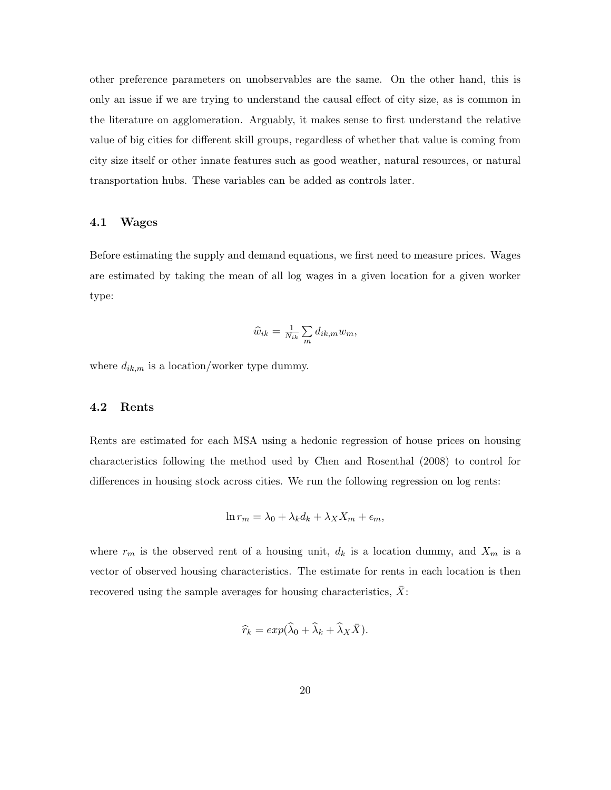other preference parameters on unobservables are the same. On the other hand, this is only an issue if we are trying to understand the causal effect of city size, as is common in the literature on agglomeration. Arguably, it makes sense to first understand the relative value of big cities for different skill groups, regardless of whether that value is coming from city size itself or other innate features such as good weather, natural resources, or natural transportation hubs. These variables can be added as controls later.

#### 4.1 Wages

Before estimating the supply and demand equations, we first need to measure prices. Wages are estimated by taking the mean of all log wages in a given location for a given worker type:

$$
\widehat{w}_{ik} = \frac{1}{N_{ik}} \sum_{m} d_{ik,m} w_m,
$$

where  $d_{ik,m}$  is a location/worker type dummy.

#### 4.2 Rents

Rents are estimated for each MSA using a hedonic regression of house prices on housing characteristics following the method used by Chen and Rosenthal (2008) to control for differences in housing stock across cities. We run the following regression on log rents:

$$
\ln r_m = \lambda_0 + \lambda_k d_k + \lambda_X X_m + \epsilon_m,
$$

where  $r_m$  is the observed rent of a housing unit,  $d_k$  is a location dummy, and  $X_m$  is a vector of observed housing characteristics. The estimate for rents in each location is then recovered using the sample averages for housing characteristics,  $X$ :

$$
\widehat{r}_k = exp(\widehat{\lambda}_0 + \widehat{\lambda}_k + \widehat{\lambda}_X \bar{X}).
$$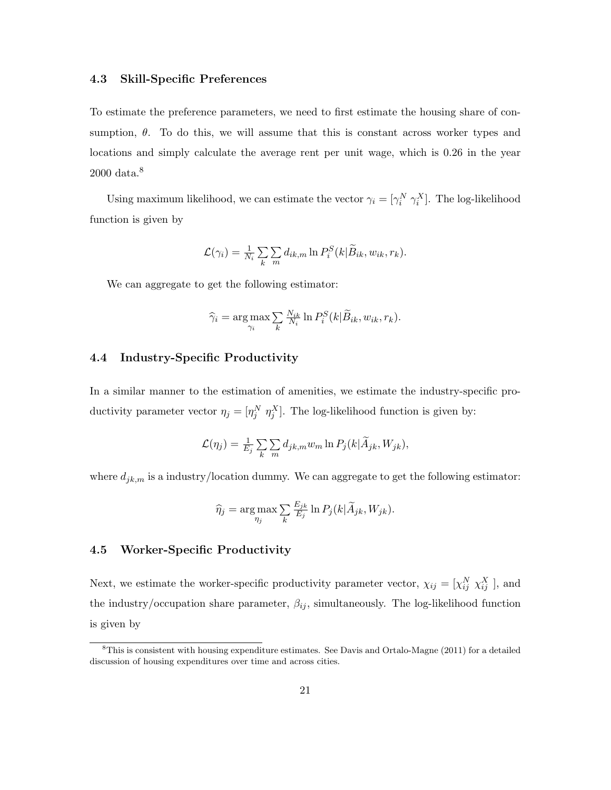### 4.3 Skill-Specific Preferences

To estimate the preference parameters, we need to first estimate the housing share of consumption,  $\theta$ . To do this, we will assume that this is constant across worker types and locations and simply calculate the average rent per unit wage, which is 0.26 in the year 2000 data.<sup>8</sup>

Using maximum likelihood, we can estimate the vector  $\gamma_i = [\gamma_i^N \gamma_i^X]$ . The log-likelihood function is given by

$$
\mathcal{L}(\gamma_i) = \frac{1}{N_i} \sum_k \sum_m d_{ik,m} \ln P_i^S(k|\widetilde{B}_{ik}, w_{ik}, r_k).
$$

We can aggregate to get the following estimator:

$$
\widehat{\gamma}_i = \underset{\gamma_i}{\arg\max} \sum_k \frac{N_{ik}}{N_i} \ln P_i^S(k|\widetilde{B}_{ik}, w_{ik}, r_k).
$$

## 4.4 Industry-Specific Productivity

In a similar manner to the estimation of amenities, we estimate the industry-specific productivity parameter vector  $\eta_j = [\eta_j^N \; \eta_j^X]$ . The log-likelihood function is given by:

$$
\mathcal{L}(\eta_j) = \frac{1}{E_j} \sum_k \sum_m d_{jk,m} w_m \ln P_j(k|\widetilde{A}_{jk}, W_{jk}),
$$

where  $d_{jk,m}$  is a industry/location dummy. We can aggregate to get the following estimator:

$$
\widehat{\eta}_j = \argmax_{\eta_j} \sum_k \frac{E_{jk}}{E_j} \ln P_j(k|\widetilde{A}_{jk}, W_{jk}).
$$

### 4.5 Worker-Specific Productivity

Next, we estimate the worker-specific productivity parameter vector,  $\chi_{ij} = [\chi_{ij}^N \chi_{ij}^X]$ , and the industry/occupation share parameter,  $\beta_{ij}$ , simultaneously. The log-likelihood function is given by

<sup>8</sup>This is consistent with housing expenditure estimates. See Davis and Ortalo-Magne (2011) for a detailed discussion of housing expenditures over time and across cities.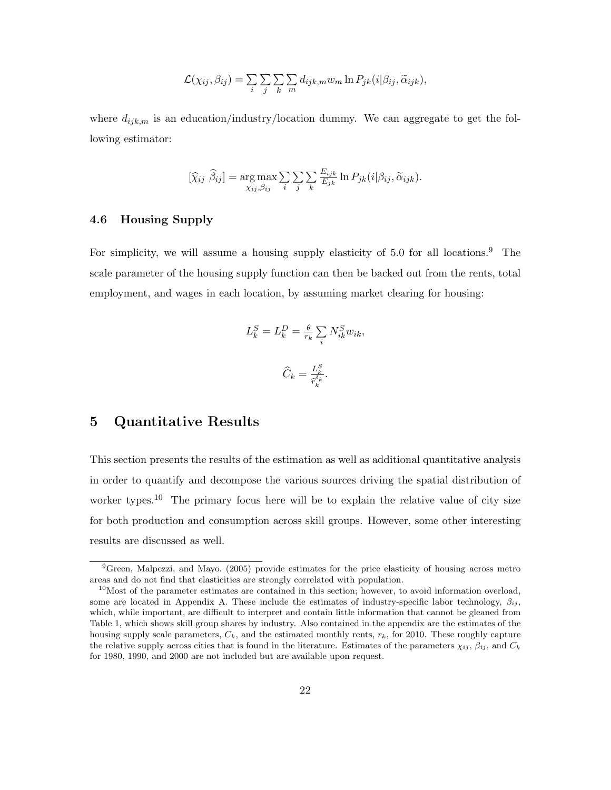$$
\mathcal{L}(\chi_{ij}, \beta_{ij}) = \sum_{i} \sum_{j} \sum_{k} \sum_{m} d_{ijk,m} w_m \ln P_{jk}(i|\beta_{ij}, \widetilde{\alpha}_{ijk}),
$$

where  $d_{ijk,m}$  is an education/industry/location dummy. We can aggregate to get the following estimator:

$$
[\widehat{\chi}_{ij} \ \widehat{\beta}_{ij}] = \underset{\chi_{ij}, \beta_{ij}}{\arg \max} \sum_{i} \sum_{j} \sum_{k} \frac{E_{ijk}}{E_{jk}} \ln P_{jk}(i|\beta_{ij}, \widetilde{\alpha}_{ijk}).
$$

## 4.6 Housing Supply

For simplicity, we will assume a housing supply elasticity of 5.0 for all locations.<sup>9</sup> The scale parameter of the housing supply function can then be backed out from the rents, total employment, and wages in each location, by assuming market clearing for housing:

$$
L_k^S = L_k^D = \frac{\theta}{r_k} \sum_i N_{ik}^S w_{ik},
$$
  

$$
\widehat{C}_k = \frac{L_k^S}{\widehat{r}_k^{\delta_k}}.
$$

## 5 Quantitative Results

This section presents the results of the estimation as well as additional quantitative analysis in order to quantify and decompose the various sources driving the spatial distribution of worker types.<sup>10</sup> The primary focus here will be to explain the relative value of city size for both production and consumption across skill groups. However, some other interesting results are discussed as well.

<sup>9</sup>Green, Malpezzi, and Mayo. (2005) provide estimates for the price elasticity of housing across metro areas and do not find that elasticities are strongly correlated with population.

<sup>&</sup>lt;sup>10</sup>Most of the parameter estimates are contained in this section; however, to avoid information overload, some are located in Appendix A. These include the estimates of industry-specific labor technology,  $\beta_{ij}$ , which, while important, are difficult to interpret and contain little information that cannot be gleaned from Table 1, which shows skill group shares by industry. Also contained in the appendix are the estimates of the housing supply scale parameters,  $C_k$ , and the estimated monthly rents,  $r_k$ , for 2010. These roughly capture the relative supply across cities that is found in the literature. Estimates of the parameters  $\chi_{ij}$ ,  $\beta_{ij}$ , and  $C_k$ for 1980, 1990, and 2000 are not included but are available upon request.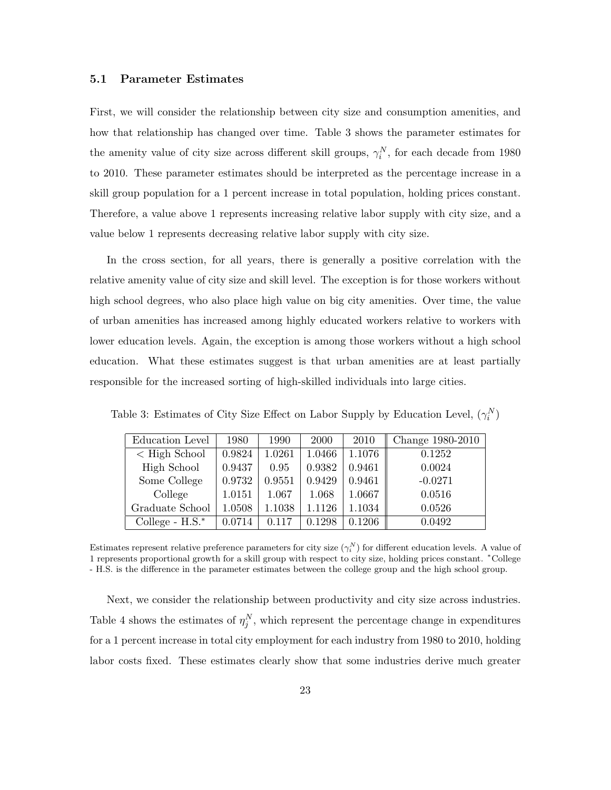### 5.1 Parameter Estimates

First, we will consider the relationship between city size and consumption amenities, and how that relationship has changed over time. Table 3 shows the parameter estimates for the amenity value of city size across different skill groups,  $\gamma_i^N$ , for each decade from 1980 to 2010. These parameter estimates should be interpreted as the percentage increase in a skill group population for a 1 percent increase in total population, holding prices constant. Therefore, a value above 1 represents increasing relative labor supply with city size, and a value below 1 represents decreasing relative labor supply with city size.

In the cross section, for all years, there is generally a positive correlation with the relative amenity value of city size and skill level. The exception is for those workers without high school degrees, who also place high value on big city amenities. Over time, the value of urban amenities has increased among highly educated workers relative to workers with lower education levels. Again, the exception is among those workers without a high school education. What these estimates suggest is that urban amenities are at least partially responsible for the increased sorting of high-skilled individuals into large cities.

Table 3: Estimates of City Size Effect on Labor Supply by Education Level,  $(\gamma_i^N)$ 

| Education Level       | 1980   | 1990   | 2000   | 2010       | Change 1980-2010 |
|-----------------------|--------|--------|--------|------------|------------------|
| $\langle$ High School | 0.9824 | 1.0261 | 1.0466 | 1.1076     | 0.1252           |
| High School           | 0.9437 | 0.95   | 0.9382 | 0.9461     | 0.0024           |
| Some College          | 0.9732 | 0.9551 | 0.9429 | 0.9461     | $-0.0271$        |
| College               | 1.0151 | 1.067  | 1.068  | $1.0667\,$ | 0.0516           |
| Graduate School       | 1.0508 | 1.1038 | 1.1126 | 1.1034     | 0.0526           |
| College - $H.S.*$     | 0.0714 | 0.117  | 0.1298 | 0.1206     | 0.0492           |

Estimates represent relative preference parameters for city size  $(\gamma_i^N)$  for different education levels. A value of 1 represents proportional growth for a skill group with respect to city size, holding prices constant. <sup>∗</sup>College - H.S. is the difference in the parameter estimates between the college group and the high school group.

Next, we consider the relationship between productivity and city size across industries. Table 4 shows the estimates of  $\eta_j^N$ , which represent the percentage change in expenditures for a 1 percent increase in total city employment for each industry from 1980 to 2010, holding labor costs fixed. These estimates clearly show that some industries derive much greater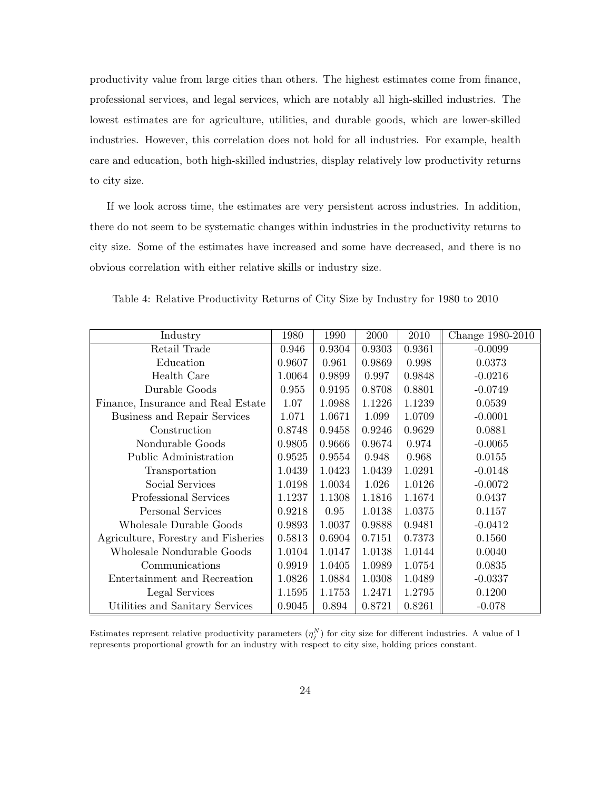productivity value from large cities than others. The highest estimates come from finance, professional services, and legal services, which are notably all high-skilled industries. The lowest estimates are for agriculture, utilities, and durable goods, which are lower-skilled industries. However, this correlation does not hold for all industries. For example, health care and education, both high-skilled industries, display relatively low productivity returns to city size.

If we look across time, the estimates are very persistent across industries. In addition, there do not seem to be systematic changes within industries in the productivity returns to city size. Some of the estimates have increased and some have decreased, and there is no obvious correlation with either relative skills or industry size.

| Industry                            | 1980   | 1990   | 2000   | 2010   | Change 1980-2010 |
|-------------------------------------|--------|--------|--------|--------|------------------|
| Retail Trade                        | 0.946  | 0.9304 | 0.9303 | 0.9361 | $-0.0099$        |
| Education                           | 0.9607 | 0.961  | 0.9869 | 0.998  | 0.0373           |
| Health Care                         | 1.0064 | 0.9899 | 0.997  | 0.9848 | $-0.0216$        |
| Durable Goods                       | 0.955  | 0.9195 | 0.8708 | 0.8801 | $-0.0749$        |
| Finance, Insurance and Real Estate  | 1.07   | 1.0988 | 1.1226 | 1.1239 | 0.0539           |
| Business and Repair Services        | 1.071  | 1.0671 | 1.099  | 1.0709 | $-0.0001$        |
| Construction                        | 0.8748 | 0.9458 | 0.9246 | 0.9629 | 0.0881           |
| Nondurable Goods                    | 0.9805 | 0.9666 | 0.9674 | 0.974  | $-0.0065$        |
| Public Administration               | 0.9525 | 0.9554 | 0.948  | 0.968  | 0.0155           |
| Transportation                      | 1.0439 | 1.0423 | 1.0439 | 1.0291 | $-0.0148$        |
| Social Services                     | 1.0198 | 1.0034 | 1.026  | 1.0126 | $-0.0072$        |
| Professional Services               | 1.1237 | 1.1308 | 1.1816 | 1.1674 | 0.0437           |
| Personal Services                   | 0.9218 | 0.95   | 1.0138 | 1.0375 | 0.1157           |
| Wholesale Durable Goods             | 0.9893 | 1.0037 | 0.9888 | 0.9481 | $-0.0412$        |
| Agriculture, Forestry and Fisheries | 0.5813 | 0.6904 | 0.7151 | 0.7373 | 0.1560           |
| Wholesale Nondurable Goods          | 1.0104 | 1.0147 | 1.0138 | 1.0144 | 0.0040           |
| Communications                      | 0.9919 | 1.0405 | 1.0989 | 1.0754 | 0.0835           |
| Entertainment and Recreation        | 1.0826 | 1.0884 | 1.0308 | 1.0489 | $-0.0337$        |
| Legal Services                      | 1.1595 | 1.1753 | 1.2471 | 1.2795 | 0.1200           |
| Utilities and Sanitary Services     | 0.9045 | 0.894  | 0.8721 | 0.8261 | $-0.078$         |

Table 4: Relative Productivity Returns of City Size by Industry for 1980 to 2010

Estimates represent relative productivity parameters  $(\eta_j^N)$  for city size for different industries. A value of 1 represents proportional growth for an industry with respect to city size, holding prices constant.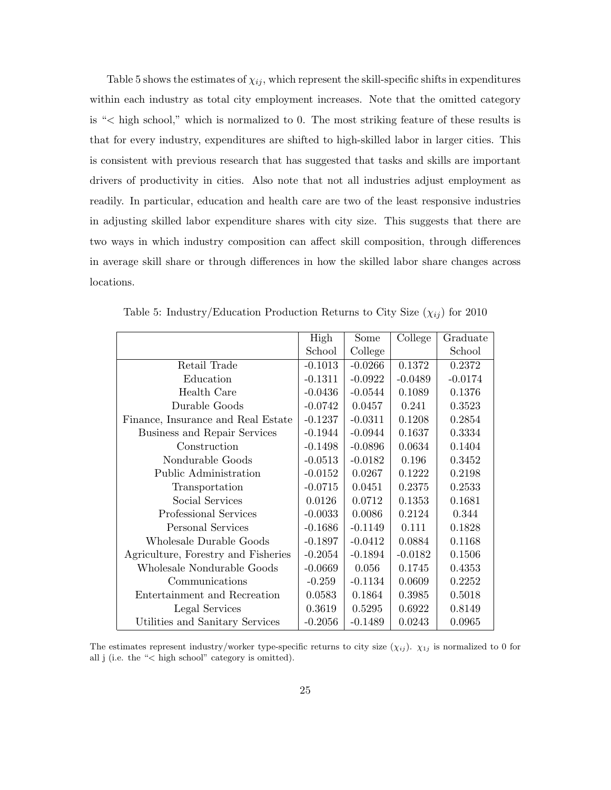Table 5 shows the estimates of  $\chi_{ij}$ , which represent the skill-specific shifts in expenditures within each industry as total city employment increases. Note that the omitted category is "< high school," which is normalized to 0. The most striking feature of these results is that for every industry, expenditures are shifted to high-skilled labor in larger cities. This is consistent with previous research that has suggested that tasks and skills are important drivers of productivity in cities. Also note that not all industries adjust employment as readily. In particular, education and health care are two of the least responsive industries in adjusting skilled labor expenditure shares with city size. This suggests that there are two ways in which industry composition can affect skill composition, through differences in average skill share or through differences in how the skilled labor share changes across locations.

|                                     | High      | Some      | College   | Graduate  |
|-------------------------------------|-----------|-----------|-----------|-----------|
|                                     | School    | College   |           | School    |
| Retail Trade                        | $-0.1013$ | $-0.0266$ | 0.1372    | 0.2372    |
| Education                           | $-0.1311$ | $-0.0922$ | $-0.0489$ | $-0.0174$ |
| Health Care                         | $-0.0436$ | $-0.0544$ | 0.1089    | 0.1376    |
| Durable Goods                       | $-0.0742$ | 0.0457    | 0.241     | 0.3523    |
| Finance, Insurance and Real Estate  | $-0.1237$ | $-0.0311$ | 0.1208    | 0.2854    |
| Business and Repair Services        | $-0.1944$ | $-0.0944$ | 0.1637    | 0.3334    |
| Construction                        | $-0.1498$ | $-0.0896$ | 0.0634    | 0.1404    |
| Nondurable Goods                    | $-0.0513$ | $-0.0182$ | 0.196     | 0.3452    |
| Public Administration               | $-0.0152$ | 0.0267    | 0.1222    | 0.2198    |
| Transportation                      | $-0.0715$ | 0.0451    | 0.2375    | 0.2533    |
| Social Services                     | 0.0126    | 0.0712    | 0.1353    | 0.1681    |
| Professional Services               | $-0.0033$ | 0.0086    | 0.2124    | 0.344     |
| Personal Services                   | $-0.1686$ | $-0.1149$ | 0.111     | 0.1828    |
| Wholesale Durable Goods             | $-0.1897$ | $-0.0412$ | 0.0884    | 0.1168    |
| Agriculture, Forestry and Fisheries | $-0.2054$ | $-0.1894$ | $-0.0182$ | 0.1506    |
| Wholesale Nondurable Goods          | $-0.0669$ | 0.056     | 0.1745    | 0.4353    |
| Communications                      | $-0.259$  | $-0.1134$ | 0.0609    | 0.2252    |
| Entertainment and Recreation        | 0.0583    | 0.1864    | 0.3985    | 0.5018    |
| Legal Services                      | 0.3619    | 0.5295    | 0.6922    | 0.8149    |
| Utilities and Sanitary Services     | $-0.2056$ | $-0.1489$ | 0.0243    | 0.0965    |

Table 5: Industry/Education Production Returns to City Size  $(\chi_{ij})$  for 2010

The estimates represent industry/worker type-specific returns to city size  $(\chi_{ij})$ .  $\chi_{1j}$  is normalized to 0 for all j (i.e. the "< high school" category is omitted).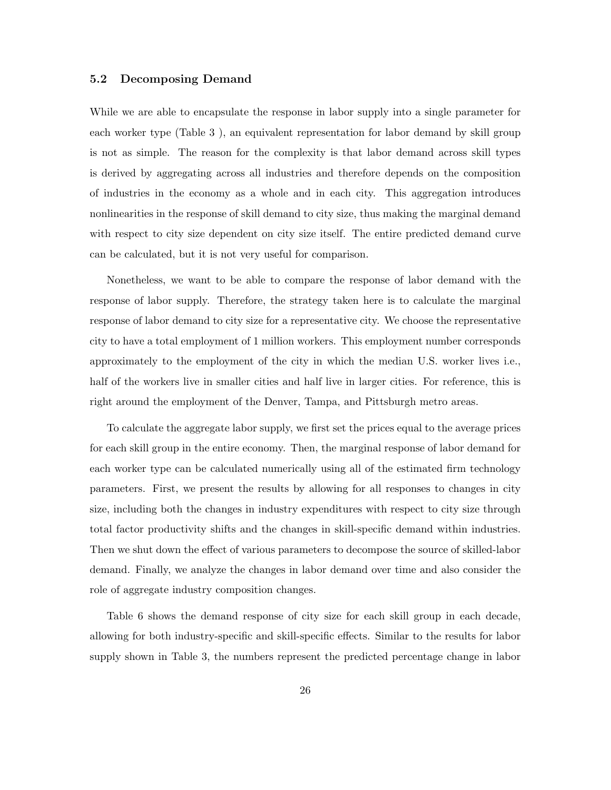## 5.2 Decomposing Demand

While we are able to encapsulate the response in labor supply into a single parameter for each worker type (Table 3 ), an equivalent representation for labor demand by skill group is not as simple. The reason for the complexity is that labor demand across skill types is derived by aggregating across all industries and therefore depends on the composition of industries in the economy as a whole and in each city. This aggregation introduces nonlinearities in the response of skill demand to city size, thus making the marginal demand with respect to city size dependent on city size itself. The entire predicted demand curve can be calculated, but it is not very useful for comparison.

Nonetheless, we want to be able to compare the response of labor demand with the response of labor supply. Therefore, the strategy taken here is to calculate the marginal response of labor demand to city size for a representative city. We choose the representative city to have a total employment of 1 million workers. This employment number corresponds approximately to the employment of the city in which the median U.S. worker lives i.e., half of the workers live in smaller cities and half live in larger cities. For reference, this is right around the employment of the Denver, Tampa, and Pittsburgh metro areas.

To calculate the aggregate labor supply, we first set the prices equal to the average prices for each skill group in the entire economy. Then, the marginal response of labor demand for each worker type can be calculated numerically using all of the estimated firm technology parameters. First, we present the results by allowing for all responses to changes in city size, including both the changes in industry expenditures with respect to city size through total factor productivity shifts and the changes in skill-specific demand within industries. Then we shut down the effect of various parameters to decompose the source of skilled-labor demand. Finally, we analyze the changes in labor demand over time and also consider the role of aggregate industry composition changes.

Table 6 shows the demand response of city size for each skill group in each decade, allowing for both industry-specific and skill-specific effects. Similar to the results for labor supply shown in Table 3, the numbers represent the predicted percentage change in labor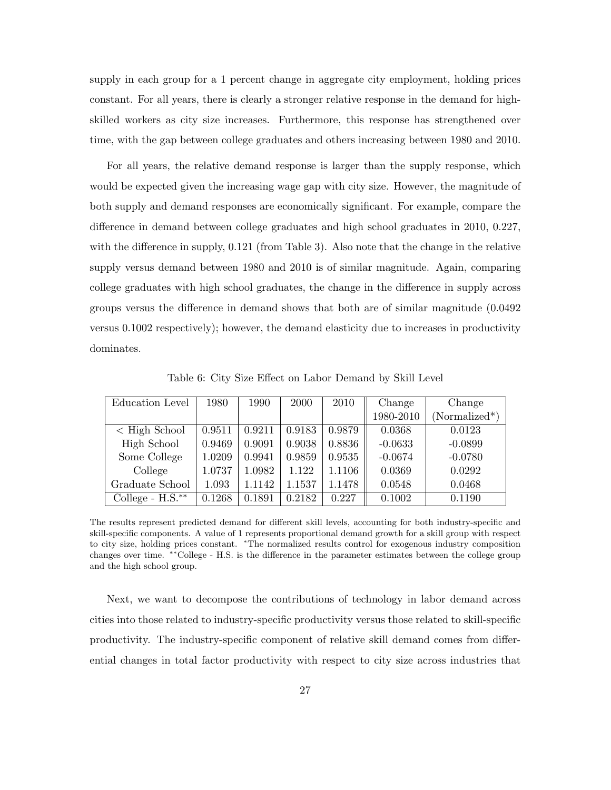supply in each group for a 1 percent change in aggregate city employment, holding prices constant. For all years, there is clearly a stronger relative response in the demand for highskilled workers as city size increases. Furthermore, this response has strengthened over time, with the gap between college graduates and others increasing between 1980 and 2010.

For all years, the relative demand response is larger than the supply response, which would be expected given the increasing wage gap with city size. However, the magnitude of both supply and demand responses are economically significant. For example, compare the difference in demand between college graduates and high school graduates in 2010, 0.227, with the difference in supply, 0.121 (from Table 3). Also note that the change in the relative supply versus demand between 1980 and 2010 is of similar magnitude. Again, comparing college graduates with high school graduates, the change in the difference in supply across groups versus the difference in demand shows that both are of similar magnitude (0.0492 versus 0.1002 respectively); however, the demand elasticity due to increases in productivity dominates.

| Education Level       | 1980   | 1990   | 2000   | 2010   | Change    | Change          |
|-----------------------|--------|--------|--------|--------|-----------|-----------------|
|                       |        |        |        |        | 1980-2010 | $(Normalized*)$ |
| $\langle$ High School | 0.9511 | 0.9211 | 0.9183 | 0.9879 | 0.0368    | 0.0123          |
| High School           | 0.9469 | 0.9091 | 0.9038 | 0.8836 | $-0.0633$ | $-0.0899$       |
| Some College          | 1.0209 | 0.9941 | 0.9859 | 0.9535 | $-0.0674$ | $-0.0780$       |
| College               | 1.0737 | 1.0982 | 1.122  | 1.1106 | 0.0369    | 0.0292          |
| Graduate School       | 1.093  | 1.1142 | 1.1537 | 1.1478 | 0.0548    | 0.0468          |
| College - $H.S.**$    | 0.1268 | 0.1891 | 0.2182 | 0.227  | 0.1002    | 0.1190          |

Table 6: City Size Effect on Labor Demand by Skill Level

The results represent predicted demand for different skill levels, accounting for both industry-specific and skill-specific components. A value of 1 represents proportional demand growth for a skill group with respect to city size, holding prices constant. <sup>∗</sup>The normalized results control for exogenous industry composition changes over time. ∗∗College - H.S. is the difference in the parameter estimates between the college group and the high school group.

Next, we want to decompose the contributions of technology in labor demand across cities into those related to industry-specific productivity versus those related to skill-specific productivity. The industry-specific component of relative skill demand comes from differential changes in total factor productivity with respect to city size across industries that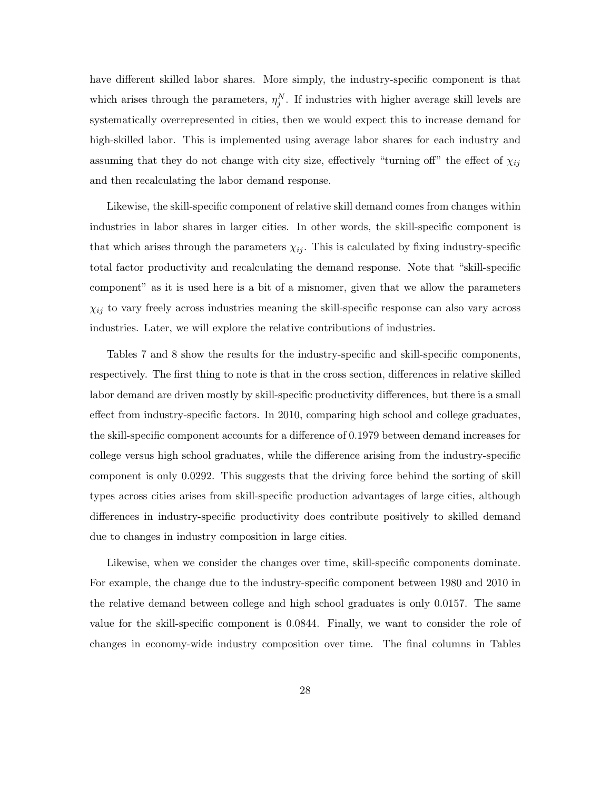have different skilled labor shares. More simply, the industry-specific component is that which arises through the parameters,  $\eta_j^N$ . If industries with higher average skill levels are systematically overrepresented in cities, then we would expect this to increase demand for high-skilled labor. This is implemented using average labor shares for each industry and assuming that they do not change with city size, effectively "turning off" the effect of  $\chi_{ij}$ and then recalculating the labor demand response.

Likewise, the skill-specific component of relative skill demand comes from changes within industries in labor shares in larger cities. In other words, the skill-specific component is that which arises through the parameters  $\chi_{ij}$ . This is calculated by fixing industry-specific total factor productivity and recalculating the demand response. Note that "skill-specific component" as it is used here is a bit of a misnomer, given that we allow the parameters  $\chi_{ij}$  to vary freely across industries meaning the skill-specific response can also vary across industries. Later, we will explore the relative contributions of industries.

Tables 7 and 8 show the results for the industry-specific and skill-specific components, respectively. The first thing to note is that in the cross section, differences in relative skilled labor demand are driven mostly by skill-specific productivity differences, but there is a small effect from industry-specific factors. In 2010, comparing high school and college graduates, the skill-specific component accounts for a difference of 0.1979 between demand increases for college versus high school graduates, while the difference arising from the industry-specific component is only 0.0292. This suggests that the driving force behind the sorting of skill types across cities arises from skill-specific production advantages of large cities, although differences in industry-specific productivity does contribute positively to skilled demand due to changes in industry composition in large cities.

Likewise, when we consider the changes over time, skill-specific components dominate. For example, the change due to the industry-specific component between 1980 and 2010 in the relative demand between college and high school graduates is only 0.0157. The same value for the skill-specific component is 0.0844. Finally, we want to consider the role of changes in economy-wide industry composition over time. The final columns in Tables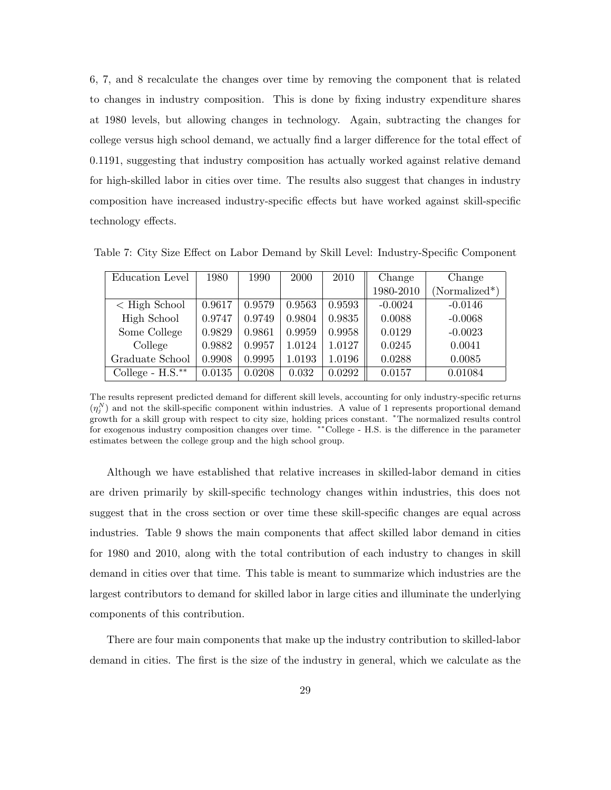6, 7, and 8 recalculate the changes over time by removing the component that is related to changes in industry composition. This is done by fixing industry expenditure shares at 1980 levels, but allowing changes in technology. Again, subtracting the changes for college versus high school demand, we actually find a larger difference for the total effect of 0.1191, suggesting that industry composition has actually worked against relative demand for high-skilled labor in cities over time. The results also suggest that changes in industry composition have increased industry-specific effects but have worked against skill-specific technology effects.

| Education Level       | 1980   | 1990   | 2000   | 2010   | Change    | Change           |
|-----------------------|--------|--------|--------|--------|-----------|------------------|
|                       |        |        |        |        | 1980-2010 | $(normalized^*)$ |
| $\langle$ High School | 0.9617 | 0.9579 | 0.9563 | 0.9593 | $-0.0024$ | $-0.0146$        |
| High School           | 0.9747 | 0.9749 | 0.9804 | 0.9835 | 0.0088    | $-0.0068$        |
| Some College          | 0.9829 | 0.9861 | 0.9959 | 0.9958 | 0.0129    | $-0.0023$        |
| College               | 0.9882 | 0.9957 | 1.0124 | 1.0127 | 0.0245    | 0.0041           |
| Graduate School       | 0.9908 | 0.9995 | 1.0193 | 1.0196 | 0.0288    | 0.0085           |
| College - $H.S.**$    | 0.0135 | 0.0208 | 0.032  | 0.0292 | 0.0157    | 0.01084          |

Table 7: City Size Effect on Labor Demand by Skill Level: Industry-Specific Component

The results represent predicted demand for different skill levels, accounting for only industry-specific returns  $(\eta_j^N)$  and not the skill-specific component within industries. A value of 1 represents proportional demand growth for a skill group with respect to city size, holding prices constant. <sup>∗</sup>The normalized results control for exogenous industry composition changes over time. ∗∗College - H.S. is the difference in the parameter estimates between the college group and the high school group.

Although we have established that relative increases in skilled-labor demand in cities are driven primarily by skill-specific technology changes within industries, this does not suggest that in the cross section or over time these skill-specific changes are equal across industries. Table 9 shows the main components that affect skilled labor demand in cities for 1980 and 2010, along with the total contribution of each industry to changes in skill demand in cities over that time. This table is meant to summarize which industries are the largest contributors to demand for skilled labor in large cities and illuminate the underlying components of this contribution.

There are four main components that make up the industry contribution to skilled-labor demand in cities. The first is the size of the industry in general, which we calculate as the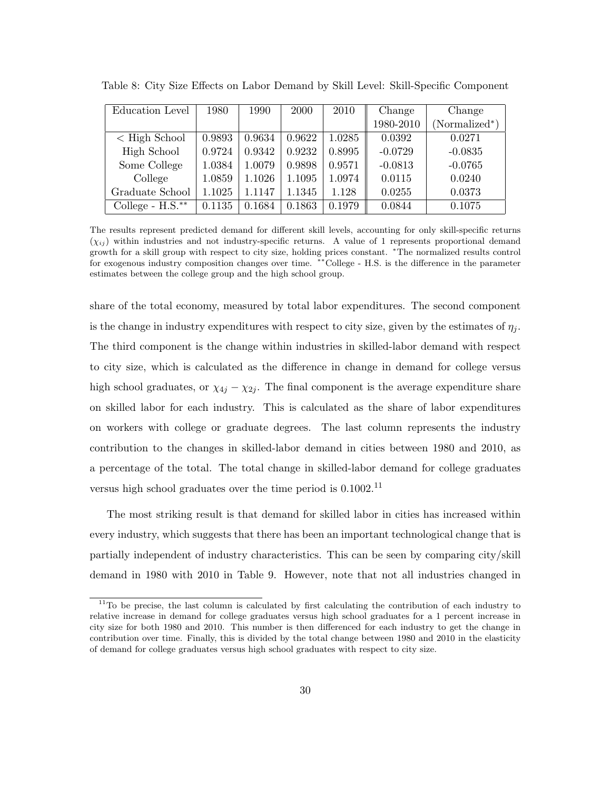| Education Level       | 1980       | 1990   | 2000   | 2010   | Change    | Change           |
|-----------------------|------------|--------|--------|--------|-----------|------------------|
|                       |            |        |        |        | 1980-2010 | $(Normalized^*)$ |
| $\langle$ High School | 0.9893     | 0.9634 | 0.9622 | 1.0285 | 0.0392    | 0.0271           |
| High School           | 0.9724     | 0.9342 | 0.9232 | 0.8995 | $-0.0729$ | $-0.0835$        |
| Some College          | 1.0384     | 1.0079 | 0.9898 | 0.9571 | $-0.0813$ | $-0.0765$        |
| College               | 1.0859     | 1.1026 | 1.1095 | 1.0974 | 0.0115    | 0.0240           |
| Graduate School       | $1.1025\,$ | 1.1147 | .1345  | 1.128  | 0.0255    | 0.0373           |
| College - $H.S.**$    | 0.1135     | 0.1684 | 0.1863 | 0.1979 | 0.0844    | 0.1075           |

Table 8: City Size Effects on Labor Demand by Skill Level: Skill-Specific Component

The results represent predicted demand for different skill levels, accounting for only skill-specific returns  $(\chi_{ij})$  within industries and not industry-specific returns. A value of 1 represents proportional demand growth for a skill group with respect to city size, holding prices constant. <sup>∗</sup>The normalized results control for exogenous industry composition changes over time. \*\*College - H.S. is the difference in the parameter estimates between the college group and the high school group.

share of the total economy, measured by total labor expenditures. The second component is the change in industry expenditures with respect to city size, given by the estimates of  $\eta_i$ . The third component is the change within industries in skilled-labor demand with respect to city size, which is calculated as the difference in change in demand for college versus high school graduates, or  $\chi_{4j} - \chi_{2j}$ . The final component is the average expenditure share on skilled labor for each industry. This is calculated as the share of labor expenditures on workers with college or graduate degrees. The last column represents the industry contribution to the changes in skilled-labor demand in cities between 1980 and 2010, as a percentage of the total. The total change in skilled-labor demand for college graduates versus high school graduates over the time period is  $0.1002<sup>11</sup>$ 

The most striking result is that demand for skilled labor in cities has increased within every industry, which suggests that there has been an important technological change that is partially independent of industry characteristics. This can be seen by comparing city/skill demand in 1980 with 2010 in Table 9. However, note that not all industries changed in

<sup>&</sup>lt;sup>11</sup>To be precise, the last column is calculated by first calculating the contribution of each industry to relative increase in demand for college graduates versus high school graduates for a 1 percent increase in city size for both 1980 and 2010. This number is then differenced for each industry to get the change in contribution over time. Finally, this is divided by the total change between 1980 and 2010 in the elasticity of demand for college graduates versus high school graduates with respect to city size.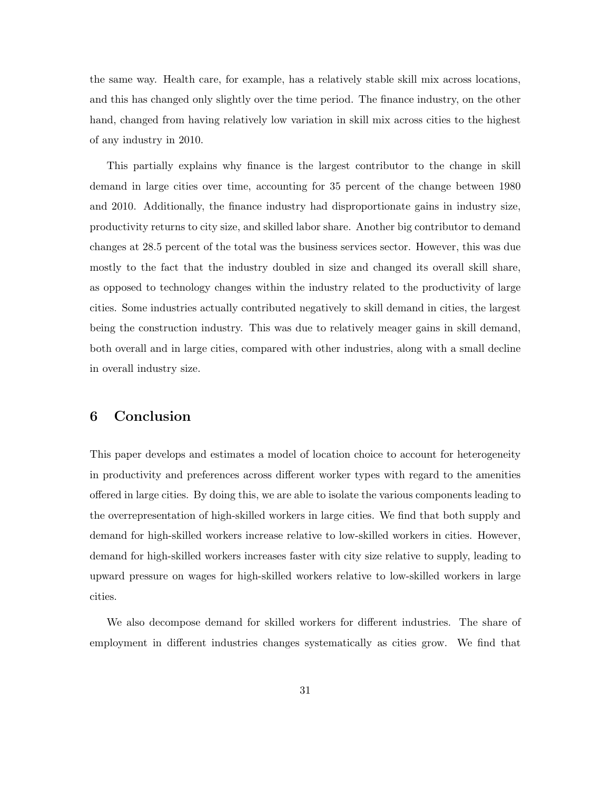the same way. Health care, for example, has a relatively stable skill mix across locations, and this has changed only slightly over the time period. The finance industry, on the other hand, changed from having relatively low variation in skill mix across cities to the highest of any industry in 2010.

This partially explains why finance is the largest contributor to the change in skill demand in large cities over time, accounting for 35 percent of the change between 1980 and 2010. Additionally, the finance industry had disproportionate gains in industry size, productivity returns to city size, and skilled labor share. Another big contributor to demand changes at 28.5 percent of the total was the business services sector. However, this was due mostly to the fact that the industry doubled in size and changed its overall skill share, as opposed to technology changes within the industry related to the productivity of large cities. Some industries actually contributed negatively to skill demand in cities, the largest being the construction industry. This was due to relatively meager gains in skill demand, both overall and in large cities, compared with other industries, along with a small decline in overall industry size.

## 6 Conclusion

This paper develops and estimates a model of location choice to account for heterogeneity in productivity and preferences across different worker types with regard to the amenities offered in large cities. By doing this, we are able to isolate the various components leading to the overrepresentation of high-skilled workers in large cities. We find that both supply and demand for high-skilled workers increase relative to low-skilled workers in cities. However, demand for high-skilled workers increases faster with city size relative to supply, leading to upward pressure on wages for high-skilled workers relative to low-skilled workers in large cities.

We also decompose demand for skilled workers for different industries. The share of employment in different industries changes systematically as cities grow. We find that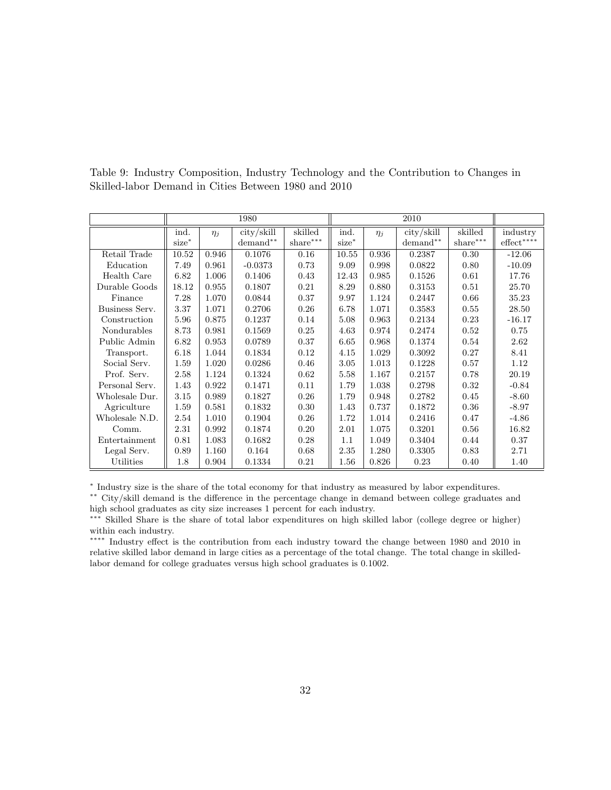|                |       |          | 1980                               |          |          | 2010     |            |            |                        |  |
|----------------|-------|----------|------------------------------------|----------|----------|----------|------------|------------|------------------------|--|
|                | ind.  | $\eta_i$ | $\frac{\text{city}}{\text{skill}}$ | skilled  | ind.     | $\eta_i$ | city/skill | skilled    | industry               |  |
|                | size* |          | $demand**$                         | share*** | $size^*$ |          | $demand**$ | $share***$ | $\text{effect}^{****}$ |  |
| Retail Trade   | 10.52 | 0.946    | 0.1076                             | 0.16     | 10.55    | 0.936    | 0.2387     | 0.30       | $-12.06$               |  |
| Education      | 7.49  | 0.961    | $-0.0373$                          | 0.73     | 9.09     | 0.998    | 0.0822     | 0.80       | $-10.09$               |  |
| Health Care    | 6.82  | 1.006    | 0.1406                             | 0.43     | 12.43    | 0.985    | 0.1526     | 0.61       | 17.76                  |  |
| Durable Goods  | 18.12 | 0.955    | 0.1807                             | 0.21     | 8.29     | 0.880    | 0.3153     | 0.51       | 25.70                  |  |
| Finance        | 7.28  | 1.070    | 0.0844                             | 0.37     | 9.97     | 1.124    | 0.2447     | 0.66       | 35.23                  |  |
| Business Serv. | 3.37  | 1.071    | 0.2706                             | 0.26     | 6.78     | 1.071    | 0.3583     | 0.55       | 28.50                  |  |
| Construction   | 5.96  | 0.875    | 0.1237                             | 0.14     | 5.08     | 0.963    | 0.2134     | 0.23       | $-16.17$               |  |
| Nondurables    | 8.73  | 0.981    | 0.1569                             | 0.25     | 4.63     | 0.974    | 0.2474     | 0.52       | 0.75                   |  |
| Public Admin   | 6.82  | 0.953    | 0.0789                             | 0.37     | 6.65     | 0.968    | 0.1374     | 0.54       | 2.62                   |  |
| Transport.     | 6.18  | 1.044    | 0.1834                             | 0.12     | 4.15     | 1.029    | 0.3092     | 0.27       | 8.41                   |  |
| Social Serv.   | 1.59  | 1.020    | 0.0286                             | 0.46     | 3.05     | 1.013    | 0.1228     | 0.57       | 1.12                   |  |
| Prof. Serv.    | 2.58  | 1.124    | 0.1324                             | 0.62     | 5.58     | 1.167    | 0.2157     | 0.78       | 20.19                  |  |
| Personal Serv. | 1.43  | 0.922    | 0.1471                             | 0.11     | 1.79     | 1.038    | 0.2798     | 0.32       | $-0.84$                |  |
| Wholesale Dur. | 3.15  | 0.989    | 0.1827                             | 0.26     | 1.79     | 0.948    | 0.2782     | 0.45       | $-8.60$                |  |
| Agriculture    | 1.59  | 0.581    | 0.1832                             | 0.30     | 1.43     | 0.737    | 0.1872     | 0.36       | $-8.97$                |  |
| Wholesale N.D. | 2.54  | 1.010    | 0.1904                             | 0.26     | 1.72     | 1.014    | 0.2416     | 0.47       | $-4.86$                |  |
| Comm.          | 2.31  | 0.992    | 0.1874                             | 0.20     | 2.01     | 1.075    | 0.3201     | 0.56       | 16.82                  |  |
| Entertainment  | 0.81  | 1.083    | 0.1682                             | 0.28     | 1.1      | 1.049    | 0.3404     | 0.44       | 0.37                   |  |
| Legal Serv.    | 0.89  | 1.160    | 0.164                              | 0.68     | 2.35     | 1.280    | 0.3305     | 0.83       | 2.71                   |  |
| Utilities      | 1.8   | 0.904    | 0.1334                             | 0.21     | 1.56     | 0.826    | 0.23       | 0.40       | 1.40                   |  |

Table 9: Industry Composition, Industry Technology and the Contribution to Changes in Skilled-labor Demand in Cities Between 1980 and 2010

∗ Industry size is the share of the total economy for that industry as measured by labor expenditures.

∗∗ City/skill demand is the difference in the percentage change in demand between college graduates and high school graduates as city size increases 1 percent for each industry.

∗∗∗ Skilled Share is the share of total labor expenditures on high skilled labor (college degree or higher) within each industry.

∗∗∗∗ Industry effect is the contribution from each industry toward the change between 1980 and 2010 in relative skilled labor demand in large cities as a percentage of the total change. The total change in skilledlabor demand for college graduates versus high school graduates is 0.1002.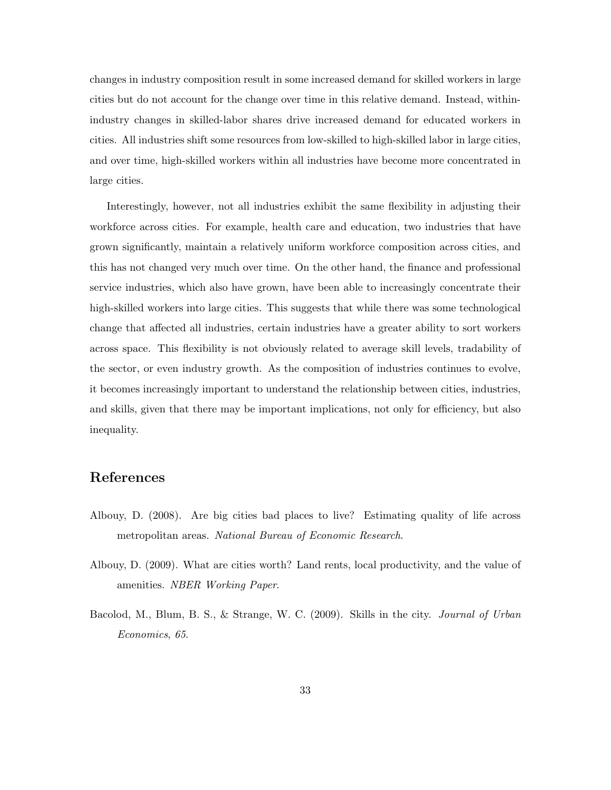changes in industry composition result in some increased demand for skilled workers in large cities but do not account for the change over time in this relative demand. Instead, withinindustry changes in skilled-labor shares drive increased demand for educated workers in cities. All industries shift some resources from low-skilled to high-skilled labor in large cities, and over time, high-skilled workers within all industries have become more concentrated in large cities.

Interestingly, however, not all industries exhibit the same flexibility in adjusting their workforce across cities. For example, health care and education, two industries that have grown significantly, maintain a relatively uniform workforce composition across cities, and this has not changed very much over time. On the other hand, the finance and professional service industries, which also have grown, have been able to increasingly concentrate their high-skilled workers into large cities. This suggests that while there was some technological change that affected all industries, certain industries have a greater ability to sort workers across space. This flexibility is not obviously related to average skill levels, tradability of the sector, or even industry growth. As the composition of industries continues to evolve, it becomes increasingly important to understand the relationship between cities, industries, and skills, given that there may be important implications, not only for efficiency, but also inequality.

## References

- Albouy, D. (2008). Are big cities bad places to live? Estimating quality of life across metropolitan areas. National Bureau of Economic Research.
- Albouy, D. (2009). What are cities worth? Land rents, local productivity, and the value of amenities. NBER Working Paper.
- Bacolod, M., Blum, B. S., & Strange, W. C. (2009). Skills in the city. *Journal of Urban* Economics, 65.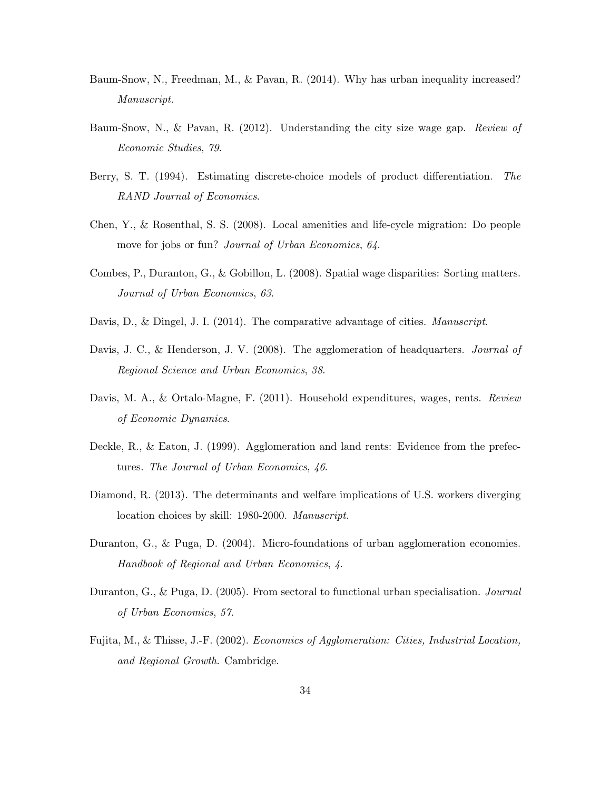- Baum-Snow, N., Freedman, M., & Pavan, R. (2014). Why has urban inequality increased? Manuscript.
- Baum-Snow, N., & Pavan, R. (2012). Understanding the city size wage gap. Review of Economic Studies, 79.
- Berry, S. T. (1994). Estimating discrete-choice models of product differentiation. The RAND Journal of Economics.
- Chen, Y., & Rosenthal, S. S. (2008). Local amenities and life-cycle migration: Do people move for jobs or fun? *Journal of Urban Economics*, 64.
- Combes, P., Duranton, G., & Gobillon, L. (2008). Spatial wage disparities: Sorting matters. Journal of Urban Economics, 63.
- Davis, D., & Dingel, J. I. (2014). The comparative advantage of cities. Manuscript.
- Davis, J. C., & Henderson, J. V. (2008). The agglomeration of headquarters. *Journal of* Regional Science and Urban Economics, 38.
- Davis, M. A., & Ortalo-Magne, F. (2011). Household expenditures, wages, rents. Review of Economic Dynamics.
- Deckle, R., & Eaton, J. (1999). Agglomeration and land rents: Evidence from the prefectures. The Journal of Urban Economics, 46.
- Diamond, R. (2013). The determinants and welfare implications of U.S. workers diverging location choices by skill: 1980-2000. Manuscript.
- Duranton, G., & Puga, D. (2004). Micro-foundations of urban agglomeration economies. Handbook of Regional and Urban Economics, 4.
- Duranton, G., & Puga, D. (2005). From sectoral to functional urban specialisation. Journal of Urban Economics, 57.
- Fujita, M., & Thisse, J.-F. (2002). Economics of Agglomeration: Cities, Industrial Location, and Regional Growth. Cambridge.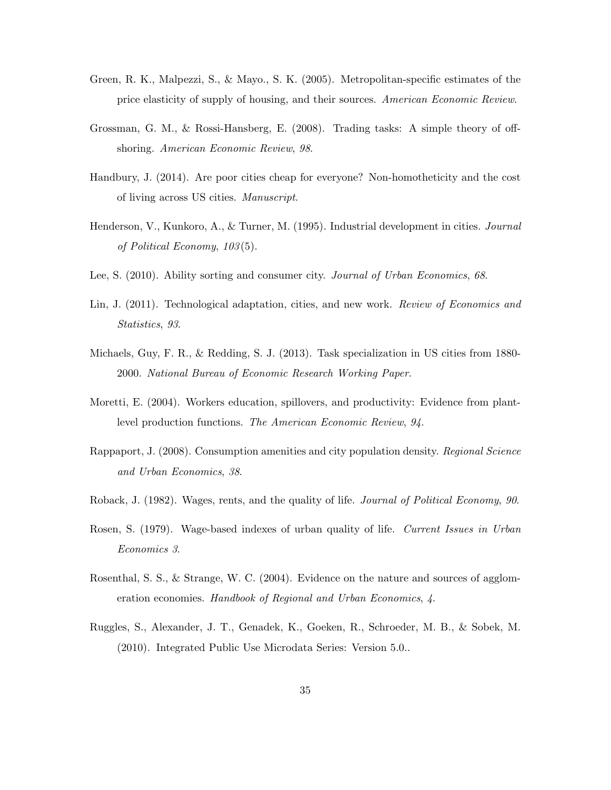- Green, R. K., Malpezzi, S., & Mayo., S. K. (2005). Metropolitan-specific estimates of the price elasticity of supply of housing, and their sources. American Economic Review.
- Grossman, G. M., & Rossi-Hansberg, E. (2008). Trading tasks: A simple theory of offshoring. American Economic Review, 98.
- Handbury, J. (2014). Are poor cities cheap for everyone? Non-homotheticity and the cost of living across US cities. Manuscript.
- Henderson, V., Kunkoro, A., & Turner, M. (1995). Industrial development in cities. Journal of Political Economy, 103 (5).
- Lee, S. (2010). Ability sorting and consumer city. Journal of Urban Economics, 68.
- Lin, J. (2011). Technological adaptation, cities, and new work. Review of Economics and Statistics, 93.
- Michaels, Guy, F. R., & Redding, S. J. (2013). Task specialization in US cities from 1880- 2000. National Bureau of Economic Research Working Paper.
- Moretti, E. (2004). Workers education, spillovers, and productivity: Evidence from plantlevel production functions. The American Economic Review, 94.
- Rappaport, J. (2008). Consumption amenities and city population density. Regional Science and Urban Economics, 38.
- Roback, J. (1982). Wages, rents, and the quality of life. Journal of Political Economy, 90.
- Rosen, S. (1979). Wage-based indexes of urban quality of life. Current Issues in Urban Economics 3.
- Rosenthal, S. S., & Strange, W. C. (2004). Evidence on the nature and sources of agglomeration economies. Handbook of Regional and Urban Economics, 4.
- Ruggles, S., Alexander, J. T., Genadek, K., Goeken, R., Schroeder, M. B., & Sobek, M. (2010). Integrated Public Use Microdata Series: Version 5.0..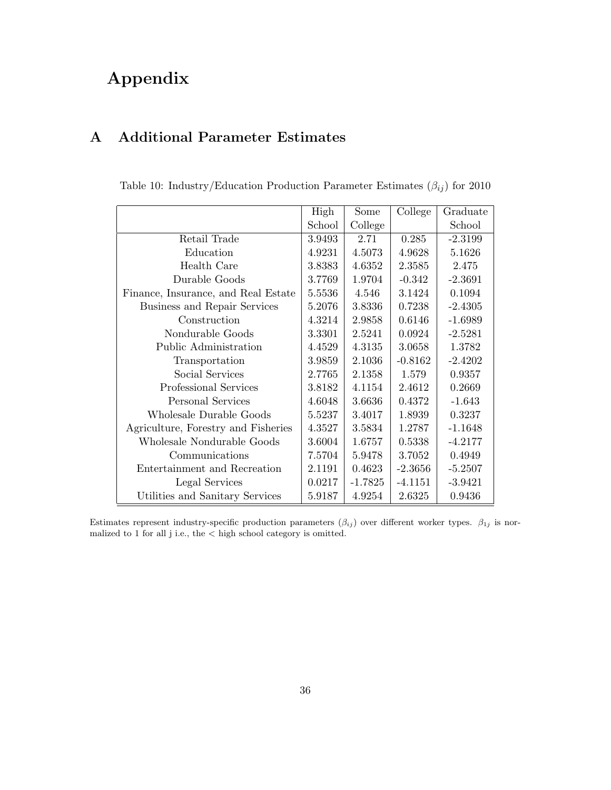# Appendix

# A Additional Parameter Estimates

|                                     | High   | Some      | College   | Graduate  |
|-------------------------------------|--------|-----------|-----------|-----------|
|                                     | School | College   |           | School    |
| Retail Trade                        | 3.9493 | 2.71      | 0.285     | $-2.3199$ |
| Education                           | 4.9231 | 4.5073    | 4.9628    | 5.1626    |
| Health Care                         | 3.8383 | 4.6352    | 2.3585    | 2.475     |
| Durable Goods                       | 3.7769 | 1.9704    | $-0.342$  | $-2.3691$ |
| Finance, Insurance, and Real Estate | 5.5536 | 4.546     | 3.1424    | 0.1094    |
| Business and Repair Services        | 5.2076 | 3.8336    | 0.7238    | $-2.4305$ |
| Construction                        | 4.3214 | 2.9858    | 0.6146    | $-1.6989$ |
| Nondurable Goods                    | 3.3301 | 2.5241    | 0.0924    | $-2.5281$ |
| Public Administration               | 4.4529 | 4.3135    | 3.0658    | 1.3782    |
| Transportation                      | 3.9859 | 2.1036    | $-0.8162$ | $-2.4202$ |
| Social Services                     | 2.7765 | 2.1358    | 1.579     | 0.9357    |
| Professional Services               | 3.8182 | 4.1154    | 2.4612    | 0.2669    |
| Personal Services                   | 4.6048 | 3.6636    | 0.4372    | $-1.643$  |
| Wholesale Durable Goods             | 5.5237 | 3.4017    | 1.8939    | 0.3237    |
| Agriculture, Forestry and Fisheries | 4.3527 | 3.5834    | 1.2787    | $-1.1648$ |
| Wholesale Nondurable Goods          | 3.6004 | 1.6757    | 0.5338    | $-4.2177$ |
| Communications                      | 7.5704 | 5.9478    | 3.7052    | 0.4949    |
| Entertainment and Recreation        | 2.1191 | 0.4623    | $-2.3656$ | $-5.2507$ |
| Legal Services                      | 0.0217 | $-1.7825$ | $-4.1151$ | $-3.9421$ |
| Utilities and Sanitary Services     | 5.9187 | 4.9254    | 2.6325    | 0.9436    |

Table 10: Industry/Education Production Parameter Estimates  $(\beta_{ij})$  for 2010

Estimates represent industry-specific production parameters  $(\beta_{ij})$  over different worker types.  $\beta_{1j}$  is normalized to 1 for all j i.e., the < high school category is omitted.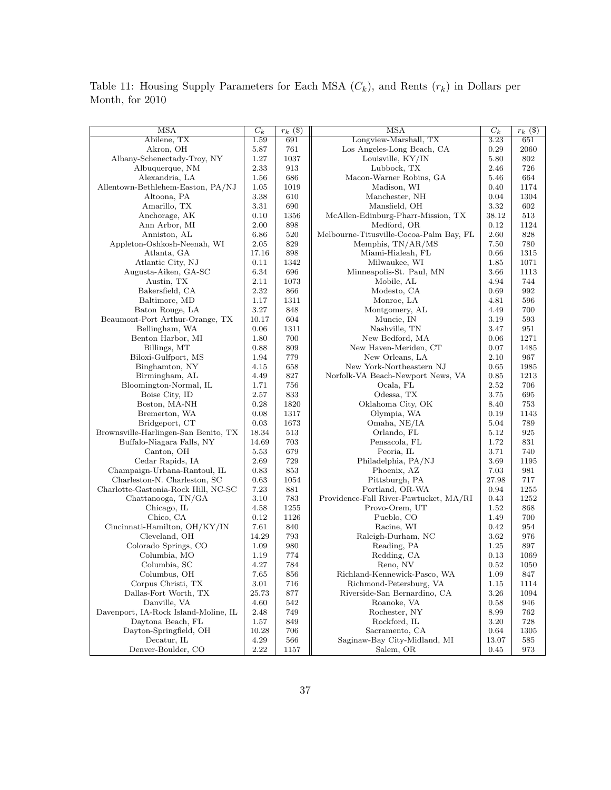Table 11: Housing Supply Parameters for Each MSA  $(C_k)$ , and Rents  $(r_k)$  in Dollars per Month, for 2010

| <b>MSA</b>                           | $\overline{C_k}$ | $r_k(\$)$ | <b>MSA</b>                              | $\overline{C_k}$ | $r_k(\$)$ |
|--------------------------------------|------------------|-----------|-----------------------------------------|------------------|-----------|
| Abilene, TX                          | 1.59             | 691       | Longview-Marshall, TX                   | 3.23             | 651       |
| Akron, OH                            | 5.87             | 761       | Los Angeles-Long Beach, CA              | 0.29             | 2060      |
| Albany-Schenectady-Troy, NY          | 1.27             | 1037      | Louisville, KY/IN                       | 5.80             | 802       |
| Albuquerque, NM                      | 2.33             | 913       | Lubbock, TX                             | 2.46             | 726       |
| Alexandria, LA                       | 1.56             | 686       | Macon-Warner Robins, GA                 | 5.46             | 664       |
| Allentown-Bethlehem-Easton, PA/NJ    | 1.05             | 1019      | Madison, WI                             | 0.40             | 1174      |
| Altoona, PA                          | 3.38             | 610       | Manchester, NH                          | 0.04             | 1304      |
| Amarillo, TX                         | 3.31             | 690       | Mansfield, OH                           | 3.32             | 602       |
| Anchorage, AK                        | 0.10             | 1356      | McAllen-Edinburg-Pharr-Mission, TX      | 38.12            | 513       |
| Ann Arbor, MI                        | 2.00             | 898       | Medford, OR                             | 0.12             | 1124      |
| Anniston, AL                         | 6.86             | 520       | Melbourne-Titusville-Cocoa-Palm Bay, FL | 2.60             | 828       |
| Appleton-Oshkosh-Neenah, WI          | 2.05             | 829       | Memphis, $TN/AR/MS$                     | 7.50             | 780       |
| Atlanta, GA                          | 17.16            | 898       | Miami-Hialeah, FL                       | 0.66             | 1315      |
| Atlantic City, NJ                    | 0.11             | 1342      | Milwaukee, WI                           | 1.85             | 1071      |
| Augusta-Aiken, GA-SC                 | 6.34             | 696       | Minneapolis-St. Paul, MN                | 3.66             | 1113      |
| Austin, TX                           | 2.11             | 1073      | Mobile, AL                              | 4.94             | 744       |
| Bakersfield, CA                      | 2.32             | 866       | Modesto, CA                             | 0.69             | 992       |
| Baltimore, MD                        | 1.17             | 1311      | Monroe, LA                              | 4.81             | 596       |
| Baton Rouge, LA                      | 3.27             | 848       | Montgomery, AL                          | 4.49             | 700       |
| Beaumont-Port Arthur-Orange, TX      | 10.17            | 604       | Muncie, IN                              | 3.19             | 593       |
| Bellingham, WA                       | 0.06             | 1311      | Nashville, TN                           | 3.47             | 951       |
| Benton Harbor, MI                    | 1.80             | 700       | New Bedford, MA                         | 0.06             | 1271      |
| Billings, MT                         | 0.88             | 809       | New Haven-Meriden, CT                   | 0.07             | 1485      |
| Biloxi-Gulfport, MS                  | 1.94             | 779       | New Orleans, LA                         | 2.10             | 967       |
| Binghamton, NY                       | 4.15             | 658       | New York-Northeastern NJ                | 0.65             | 1985      |
| Birmingham, AL                       | 4.49             | 827       | Norfolk-VA Beach-Newport News, VA       | 0.85             | 1213      |
| Bloomington-Normal, IL               | 1.71             | 756       | Ocala, FL                               | 2.52             | 706       |
| Boise City, ID                       | 2.57             | 833       | Odessa, TX                              | 3.75             | 695       |
| Boston, MA-NH                        | 0.28             | 1820      | Oklahoma City, OK                       | 8.40             | 753       |
| Bremerton, WA                        | 0.08             | 1317      | Olympia, WA                             | 0.19             | 1143      |
| Bridgeport, CT                       | 0.03             | 1673      | Omaha, NE/IA                            | 5.04             | 789       |
| Brownsville-Harlingen-San Benito, TX | 18.34            | 513       | Orlando, FL                             | 5.12             | 925       |
| Buffalo-Niagara Falls, NY            | 14.69            | 703       | Pensacola, FL                           | 1.72             | 831       |
| Canton, OH                           | 5.53             | 679       | Peoria, IL                              | 3.71             | 740       |
| Cedar Rapids, IA                     | 2.69             | 729       | Philadelphia, PA/NJ                     | $3.69\,$         | 1195      |
| Champaign-Urbana-Rantoul, IL         | 0.83             | 853       | Phoenix, AZ                             | 7.03             | 981       |
| Charleston-N. Charleston, SC         | 0.63             | 1054      | Pittsburgh, PA                          | 27.98            | 717       |
| Charlotte-Gastonia-Rock Hill, NC-SC  | 7.23             | 881       | Portland, OR-WA                         | 0.94             | 1255      |
| Chattanooga, TN/GA                   | 3.10             | 783       | Providence-Fall River-Pawtucket, MA/RI  | 0.43             | 1252      |
| Chicago, IL                          | 4.58             | 1255      | Provo-Orem, UT                          | 1.52             | 868       |
| Chico, CA                            | 0.12             | 1126      | Pueblo, CO                              | 1.49             | 700       |
| Cincinnati-Hamilton, OH/KY/IN        | 7.61             | 840       | Racine, WI                              | 0.42             | 954       |
| Cleveland, OH                        | 14.29            | 793       | Raleigh-Durham, NC                      | 3.62             | 976       |
| Colorado Springs, CO                 | 1.09             | 980       | Reading, PA                             | 1.25             | 897       |
| Columbia, MO                         | 1.19             | 774       | Redding, CA                             | 0.13             | 1069      |
| Columbia, SC                         | 4.27             | 784       | Reno, NV                                | 0.52             | 1050      |
| Columbus, OH                         | 7.65             | 856       | Richland-Kennewick-Pasco, WA            | 1.09             | 847       |
| Corpus Christi, TX                   | 3.01             | 716       | Richmond-Petersburg, VA                 | 1.15             | 1114      |
| Dallas-Fort Worth, TX                | 25.73            | 877       | Riverside-San Bernardino, CA            | 3.26             | 1094      |
| Danville, VA                         | 4.60             | 542       | Roanoke, VA                             | 0.58             | 946       |
| Davenport, IA-Rock Island-Moline, IL | 2.48             | 749       | Rochester, NY                           | 8.99             | 762       |
| Daytona Beach, FL                    | 1.57             | 849       | Rockford, IL                            | 3.20             | 728       |
| Dayton-Springfield, OH               | 10.28            | 706       | Sacramento, CA                          | 0.64             | 1305      |
| Decatur, IL                          | 4.29             | 566       | Saginaw-Bay City-Midland, MI            | 13.07            | 585       |
| Denver-Boulder, CO                   | 2.22             | 1157      | Salem, OR                               | 0.45             | 973       |